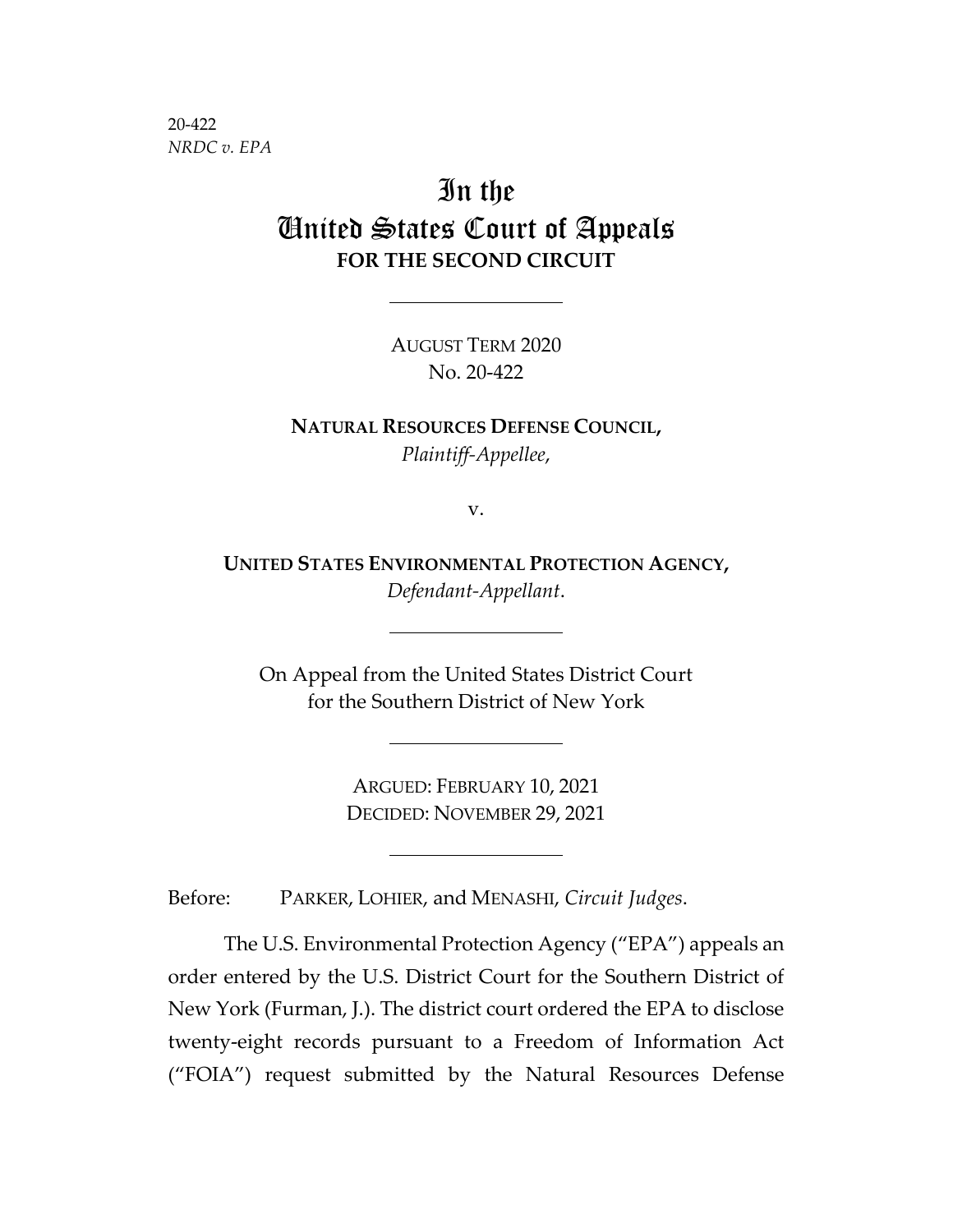20-422 *NRDC v. EPA*

# In the United States Court of Appeals **FOR THE SECOND CIRCUIT**

AUGUST TERM 2020 No. 20-422

**NATURAL RESOURCES DEFENSE COUNCIL,** *Plaintiff-Appellee*,

v.

**UNITED STATES ENVIRONMENTAL PROTECTION AGENCY,** *Defendant-Appellant*.

On Appeal from the United States District Court for the Southern District of New York

> ARGUED: FEBRUARY 10, 2021 DECIDED: NOVEMBER 29, 2021

Before: PARKER, LOHIER, and MENASHI, *Circuit Judges*.

The U.S. Environmental Protection Agency ("EPA") appeals an order entered by the U.S. District Court for the Southern District of New York (Furman, J.). The district court ordered the EPA to disclose twenty-eight records pursuant to a Freedom of Information Act ("FOIA") request submitted by the Natural Resources Defense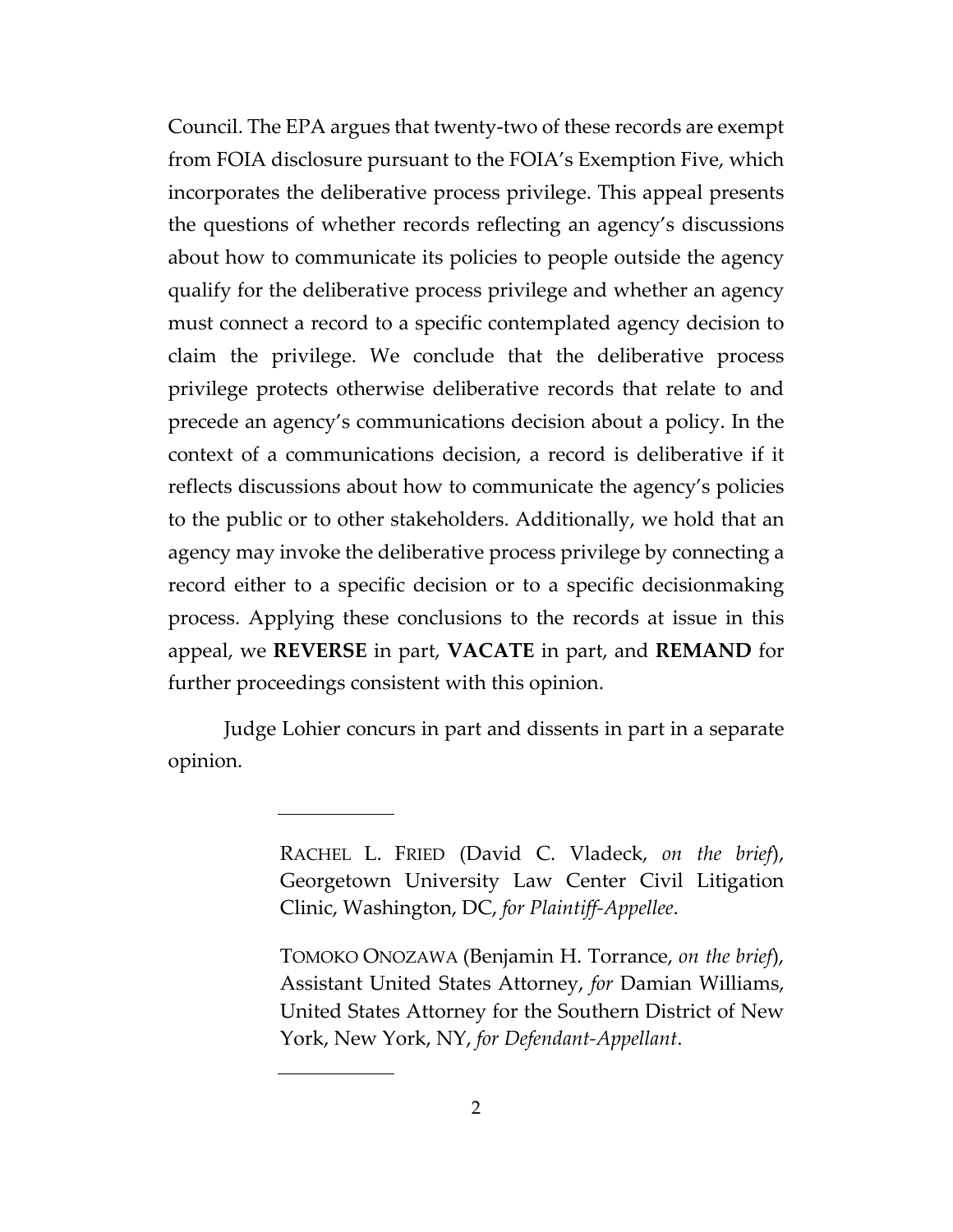Council. The EPA argues that twenty-two of these records are exempt from FOIA disclosure pursuant to the FOIA's Exemption Five, which incorporates the deliberative process privilege. This appeal presents the questions of whether records reflecting an agency's discussions about how to communicate its policies to people outside the agency qualify for the deliberative process privilege and whether an agency must connect a record to a specific contemplated agency decision to claim the privilege. We conclude that the deliberative process privilege protects otherwise deliberative records that relate to and precede an agency's communications decision about a policy. In the context of a communications decision, a record is deliberative if it reflects discussions about how to communicate the agency's policies to the public or to other stakeholders. Additionally, we hold that an agency may invoke the deliberative process privilege by connecting a record either to a specific decision or to a specific decisionmaking process. Applying these conclusions to the records at issue in this appeal, we **REVERSE** in part, **VACATE** in part, and **REMAND** for further proceedings consistent with this opinion.

Judge Lohier concurs in part and dissents in part in a separate opinion.

> RACHEL L. FRIED (David C. Vladeck, *on the brief*), Georgetown University Law Center Civil Litigation Clinic, Washington, DC, *for Plaintiff-Appellee*.

> TOMOKO ONOZAWA (Benjamin H. Torrance, *on the brief*), Assistant United States Attorney, *for* Damian Williams, United States Attorney for the Southern District of New York, New York, NY, *for Defendant-Appellant*.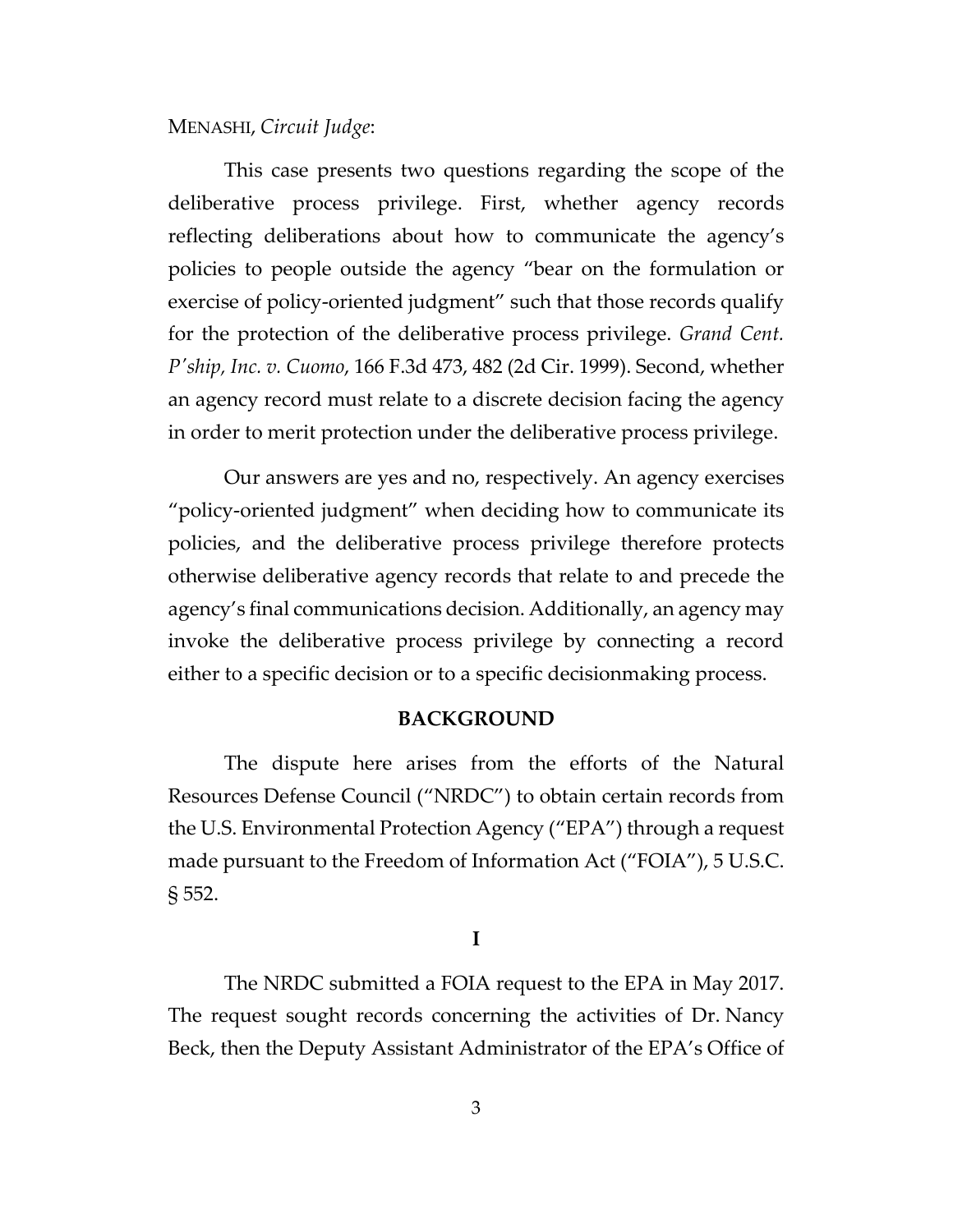# MENASHI, *Circuit Judge*:

This case presents two questions regarding the scope of the deliberative process privilege. First, whether agency records reflecting deliberations about how to communicate the agency's policies to people outside the agency "bear on the formulation or exercise of policy-oriented judgment" such that those records qualify for the protection of the deliberative process privilege. *Grand Cent. P'ship, Inc. v. Cuomo*, 166 F.3d 473, 482 (2d Cir. 1999). Second, whether an agency record must relate to a discrete decision facing the agency in order to merit protection under the deliberative process privilege.

Our answers are yes and no, respectively. An agency exercises "policy-oriented judgment" when deciding how to communicate its policies, and the deliberative process privilege therefore protects otherwise deliberative agency records that relate to and precede the agency's final communications decision. Additionally, an agency may invoke the deliberative process privilege by connecting a record either to a specific decision or to a specific decisionmaking process.

#### **BACKGROUND**

The dispute here arises from the efforts of the Natural Resources Defense Council ("NRDC") to obtain certain records from the U.S. Environmental Protection Agency ("EPA") through a request made pursuant to the Freedom of Information Act ("FOIA"), 5 U.S.C. § 552.

# **I**

The NRDC submitted a FOIA request to the EPA in May 2017. The request sought records concerning the activities of Dr. Nancy Beck, then the Deputy Assistant Administrator of the EPA's Office of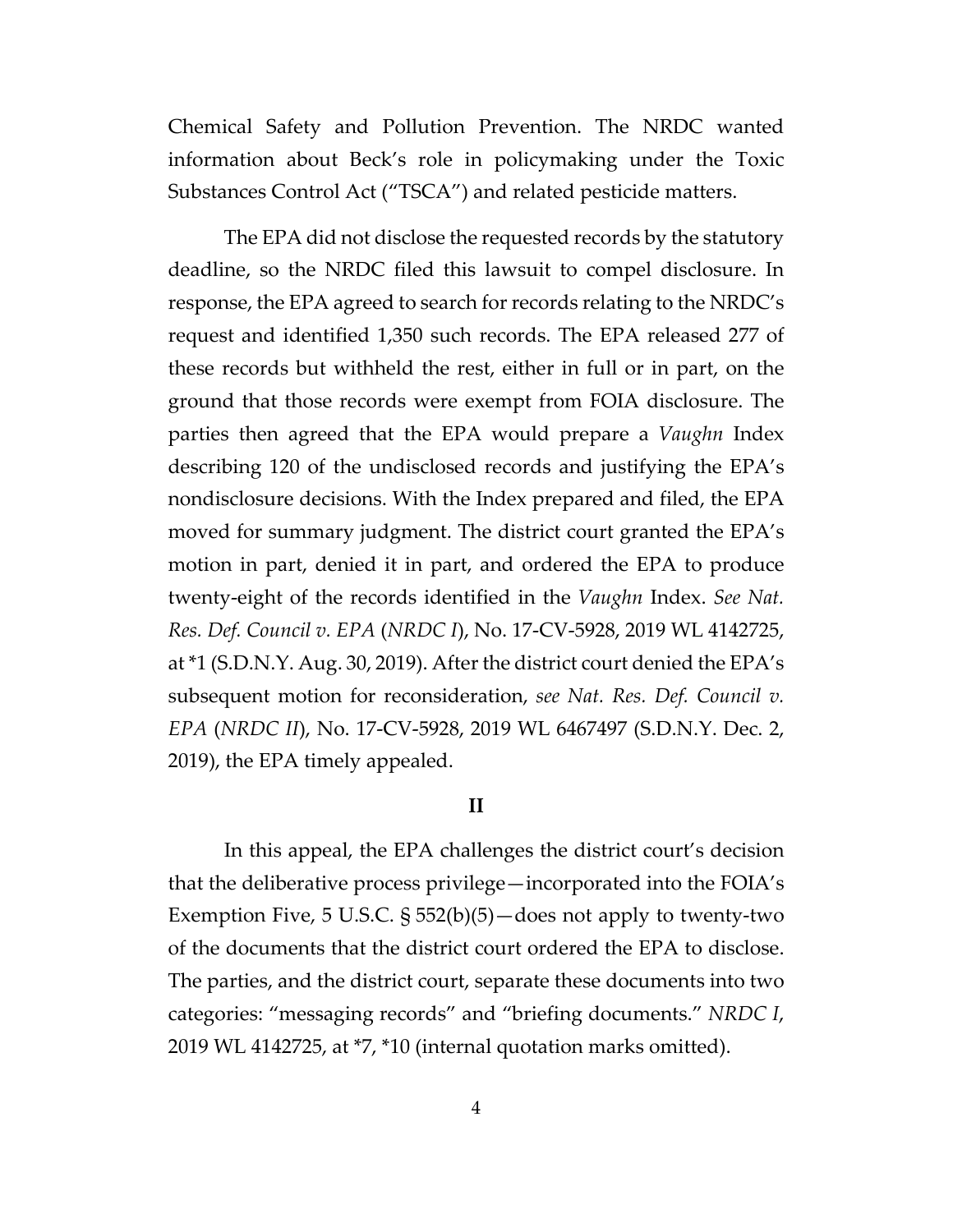Chemical Safety and Pollution Prevention. The NRDC wanted information about Beck's role in policymaking under the Toxic Substances Control Act ("TSCA") and related pesticide matters.

The EPA did not disclose the requested records by the statutory deadline, so the NRDC filed this lawsuit to compel disclosure. In response, the EPA agreed to search for records relating to the NRDC's request and identified 1,350 such records. The EPA released 277 of these records but withheld the rest, either in full or in part, on the ground that those records were exempt from FOIA disclosure. The parties then agreed that the EPA would prepare a *Vaughn* Index describing 120 of the undisclosed records and justifying the EPA's nondisclosure decisions. With the Index prepared and filed, the EPA moved for summary judgment. The district court granted the EPA's motion in part, denied it in part, and ordered the EPA to produce twenty-eight of the records identified in the *Vaughn* Index. *See Nat. Res. Def. Council v. EPA* (*NRDC I*), No. 17-CV-5928, 2019 WL 4142725, at \*1 (S.D.N.Y. Aug. 30, 2019). After the district court denied the EPA's subsequent motion for reconsideration, *see Nat. Res. Def. Council v. EPA* (*NRDC II*), No. 17-CV-5928, 2019 WL 6467497 (S.D.N.Y. Dec. 2, 2019), the EPA timely appealed.

# **II**

In this appeal, the EPA challenges the district court's decision that the deliberative process privilege—incorporated into the FOIA's Exemption Five, 5 U.S.C. § 552(b)(5)—does not apply to twenty-two of the documents that the district court ordered the EPA to disclose. The parties, and the district court, separate these documents into two categories: "messaging records" and "briefing documents." *NRDC I*, 2019 WL 4142725, at \*7, \*10 (internal quotation marks omitted).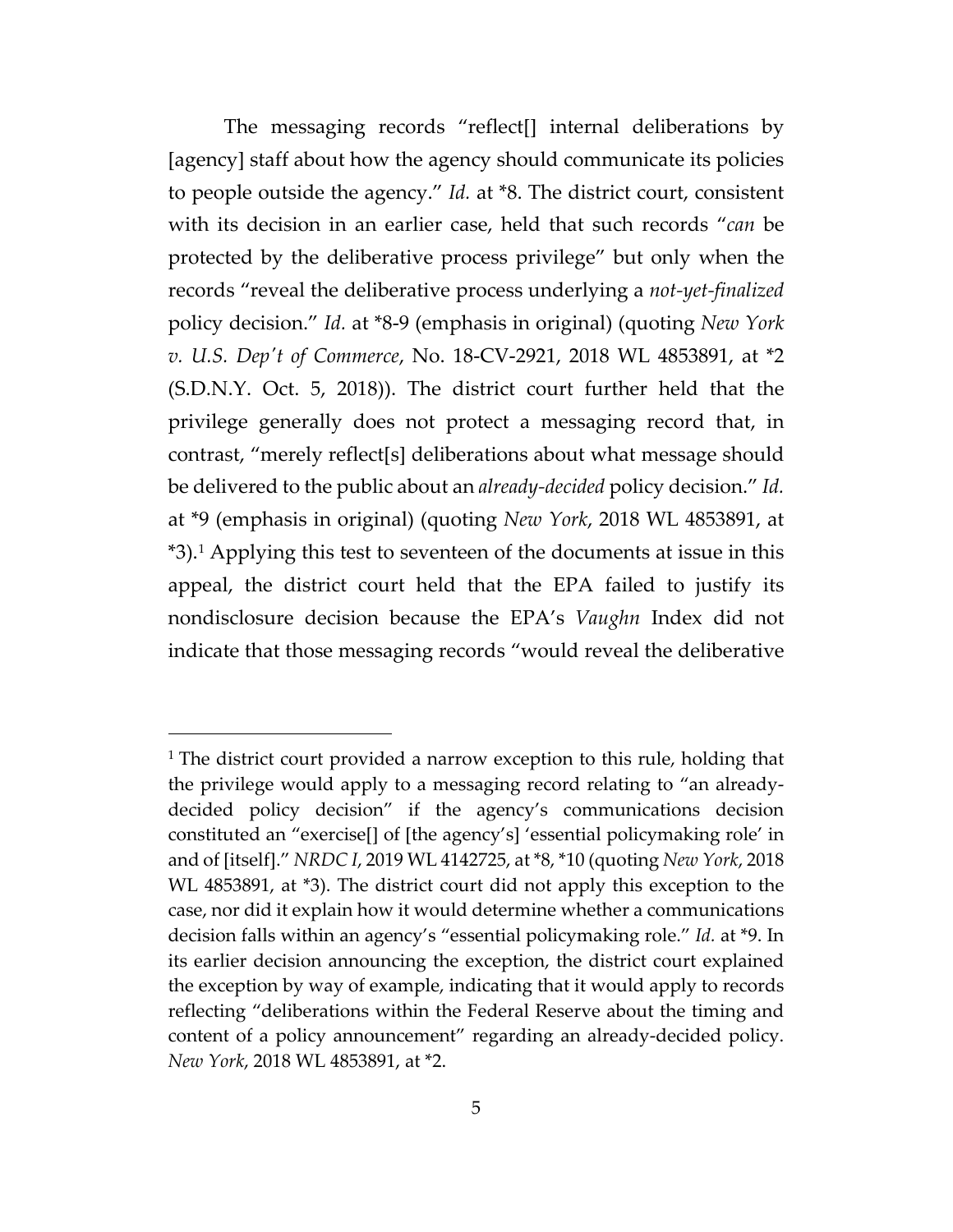The messaging records "reflect[] internal deliberations by [agency] staff about how the agency should communicate its policies to people outside the agency." *Id.* at \*8. The district court, consistent with its decision in an earlier case, held that such records "*can* be protected by the deliberative process privilege" but only when the records "reveal the deliberative process underlying a *not-yet-finalized* policy decision." *Id.* at \*8-9 (emphasis in original) (quoting *New York v. U.S. Dep't of Commerce*, No. 18-CV-2921, 2018 WL 4853891, at \*2 (S.D.N.Y. Oct. 5, 2018)). The district court further held that the privilege generally does not protect a messaging record that, in contrast, "merely reflect[s] deliberations about what message should be delivered to the public about an *already-decided* policy decision." *Id.*  at \*9 (emphasis in original) (quoting *New York*, 2018 WL 4853891, at \*3).[1](#page-4-0) Applying this test to seventeen of the documents at issue in this appeal, the district court held that the EPA failed to justify its nondisclosure decision because the EPA's *Vaughn* Index did not indicate that those messaging records "would reveal the deliberative

<span id="page-4-0"></span><sup>&</sup>lt;sup>1</sup> The district court provided a narrow exception to this rule, holding that the privilege would apply to a messaging record relating to "an alreadydecided policy decision" if the agency's communications decision constituted an "exercise[] of [the agency's] 'essential policymaking role' in and of [itself]." *NRDC I*, 2019 WL 4142725, at \*8, \*10 (quoting *New York*, 2018 WL 4853891, at \*3). The district court did not apply this exception to the case, nor did it explain how it would determine whether a communications decision falls within an agency's "essential policymaking role." *Id.* at \*9. In its earlier decision announcing the exception, the district court explained the exception by way of example, indicating that it would apply to records reflecting "deliberations within the Federal Reserve about the timing and content of a policy announcement" regarding an already-decided policy. *New York*, 2018 WL 4853891, at \*2.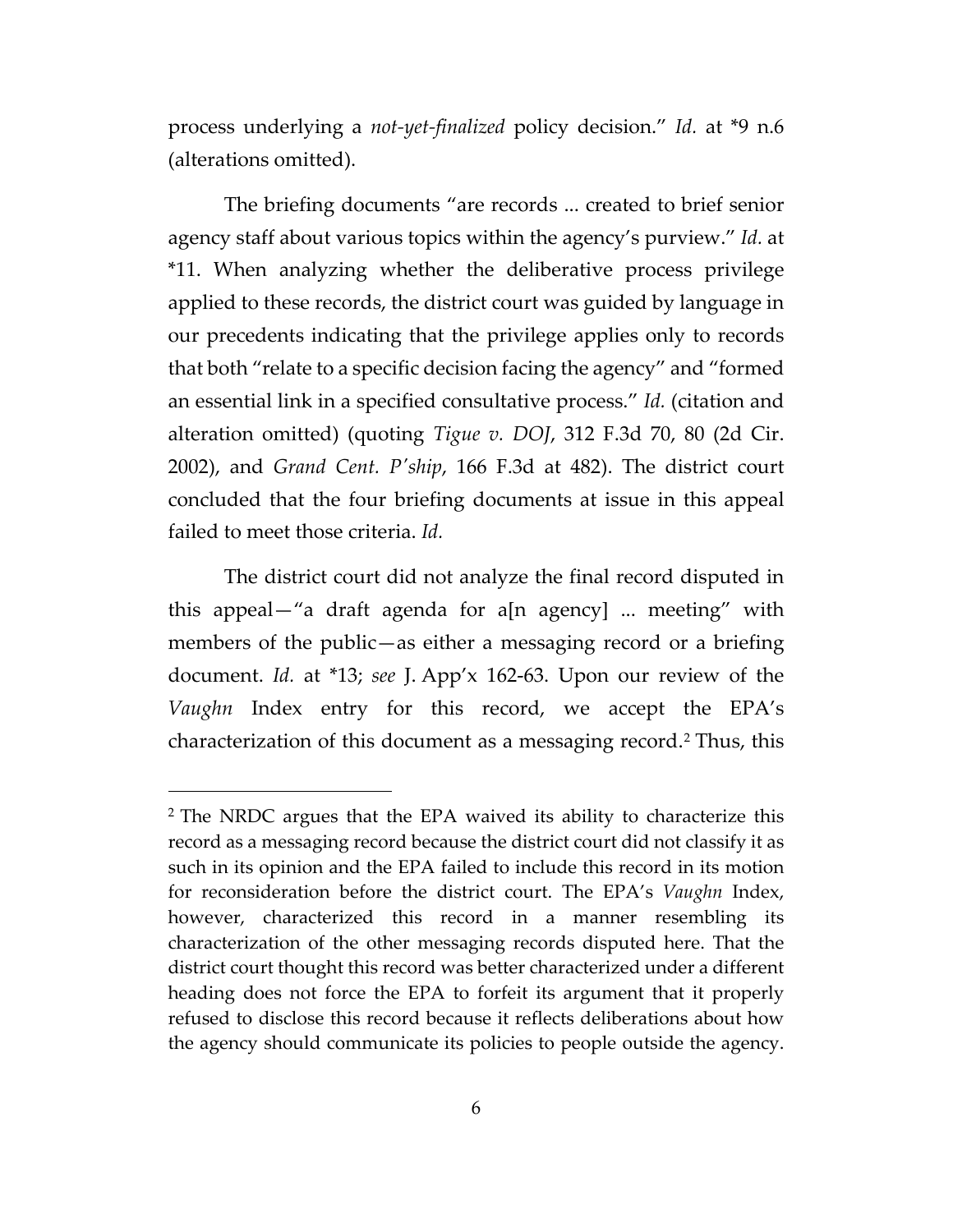process underlying a *not-yet-finalized* policy decision." *Id.* at \*9 n.6 (alterations omitted).

The briefing documents "are records ... created to brief senior agency staff about various topics within the agency's purview." *Id.* at \*11. When analyzing whether the deliberative process privilege applied to these records, the district court was guided by language in our precedents indicating that the privilege applies only to records that both "relate to a specific decision facing the agency" and "formed an essential link in a specified consultative process." *Id.* (citation and alteration omitted) (quoting *Tigue v. DOJ*, 312 F.3d 70, 80 (2d Cir. 2002), and *Grand Cent. P'ship*, 166 F.3d at 482). The district court concluded that the four briefing documents at issue in this appeal failed to meet those criteria. *Id.*

The district court did not analyze the final record disputed in this appeal—"a draft agenda for a[n agency] ... meeting" with members of the public—as either a messaging record or a briefing document. *Id.* at \*13; *see* J. App'x 162-63. Upon our review of the *Vaughn* Index entry for this record, we accept the EPA's characterization of this document as a messaging record.[2](#page-5-0) Thus, this

<span id="page-5-0"></span><sup>&</sup>lt;sup>2</sup> The NRDC argues that the EPA waived its ability to characterize this record as a messaging record because the district court did not classify it as such in its opinion and the EPA failed to include this record in its motion for reconsideration before the district court. The EPA's *Vaughn* Index, however, characterized this record in a manner resembling its characterization of the other messaging records disputed here. That the district court thought this record was better characterized under a different heading does not force the EPA to forfeit its argument that it properly refused to disclose this record because it reflects deliberations about how the agency should communicate its policies to people outside the agency.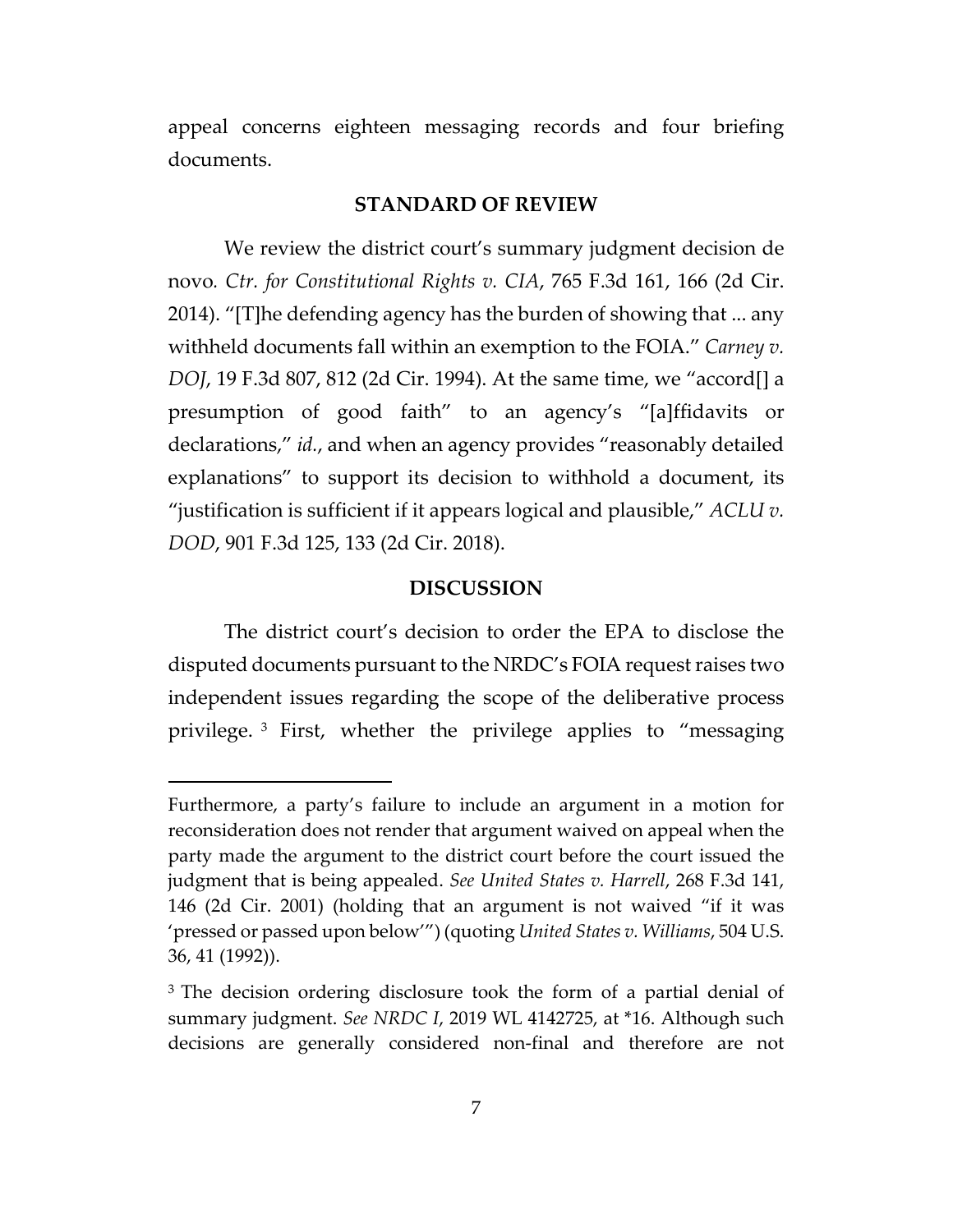appeal concerns eighteen messaging records and four briefing documents.

# **STANDARD OF REVIEW**

We review the district court's summary judgment decision de novo*. Ctr. for Constitutional Rights v. CIA*, 765 F.3d 161, 166 (2d Cir. 2014). "[T]he defending agency has the burden of showing that ... any withheld documents fall within an exemption to the FOIA." *Carney v. DOJ*, 19 F.3d 807, 812 (2d Cir. 1994). At the same time, we "accord[] a presumption of good faith" to an agency's "[a]ffidavits or declarations," *id.*, and when an agency provides "reasonably detailed explanations" to support its decision to withhold a document, its "justification is sufficient if it appears logical and plausible," *ACLU v. DOD*, 901 F.3d 125, 133 (2d Cir. 2018).

#### **DISCUSSION**

The district court's decision to order the EPA to disclose the disputed documents pursuant to the NRDC's FOIA request raises two independent issues regarding the scope of the deliberative process privilege. [3](#page-6-0) First, whether the privilege applies to "messaging

Furthermore, a party's failure to include an argument in a motion for reconsideration does not render that argument waived on appeal when the party made the argument to the district court before the court issued the judgment that is being appealed. *See United States v. Harrell*, 268 F.3d 141, 146 (2d Cir. 2001) (holding that an argument is not waived "if it was 'pressed or passed upon below'") (quoting *United States v. Williams*, 504 U.S. 36, 41 (1992)).

<span id="page-6-0"></span><sup>&</sup>lt;sup>3</sup> The decision ordering disclosure took the form of a partial denial of summary judgment. *See NRDC I*, 2019 WL 4142725, at \*16. Although such decisions are generally considered non-final and therefore are not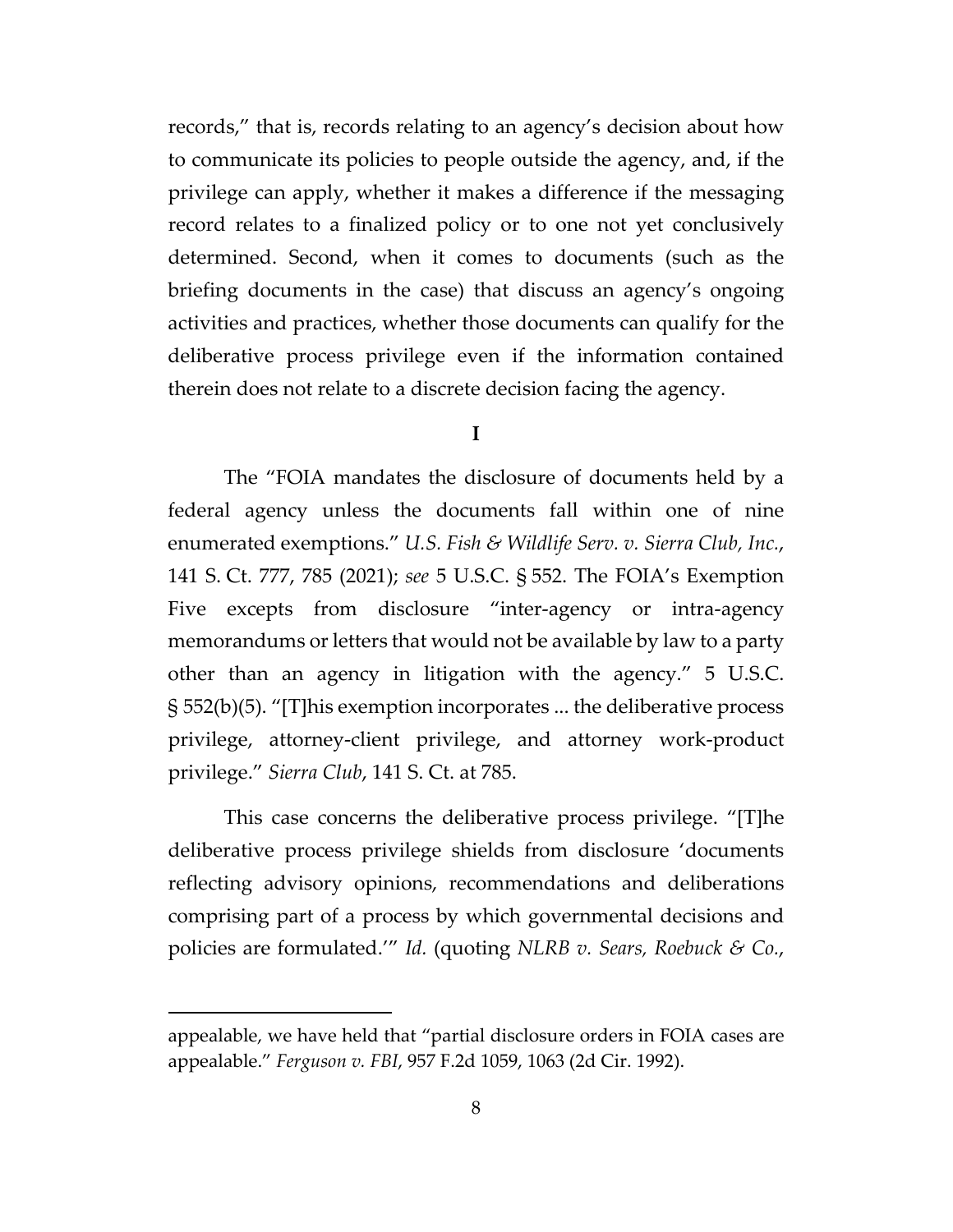records," that is, records relating to an agency's decision about how to communicate its policies to people outside the agency, and, if the privilege can apply, whether it makes a difference if the messaging record relates to a finalized policy or to one not yet conclusively determined. Second, when it comes to documents (such as the briefing documents in the case) that discuss an agency's ongoing activities and practices, whether those documents can qualify for the deliberative process privilege even if the information contained therein does not relate to a discrete decision facing the agency.

#### **I**

The "FOIA mandates the disclosure of documents held by a federal agency unless the documents fall within one of nine enumerated exemptions." *U.S. Fish & Wildlife Serv. v. Sierra Club, Inc.*, 141 S. Ct. 777, 785 (2021); *see* 5 U.S.C. § 552. The FOIA's Exemption Five excepts from disclosure "inter-agency or intra-agency memorandums or letters that would not be available by law to a party other than an agency in litigation with the agency." 5 U.S.C. § 552(b)(5). "[T]his exemption incorporates ... the deliberative process privilege, attorney-client privilege, and attorney work-product privilege." *Sierra Club*, 141 S. Ct. at 785.

This case concerns the deliberative process privilege. "[T]he deliberative process privilege shields from disclosure 'documents reflecting advisory opinions, recommendations and deliberations comprising part of a process by which governmental decisions and policies are formulated.'" *Id.* (quoting *NLRB v. Sears, Roebuck & Co.*,

appealable, we have held that "partial disclosure orders in FOIA cases are appealable." *Ferguson v. FBI*, 957 F.2d 1059, 1063 (2d Cir. 1992).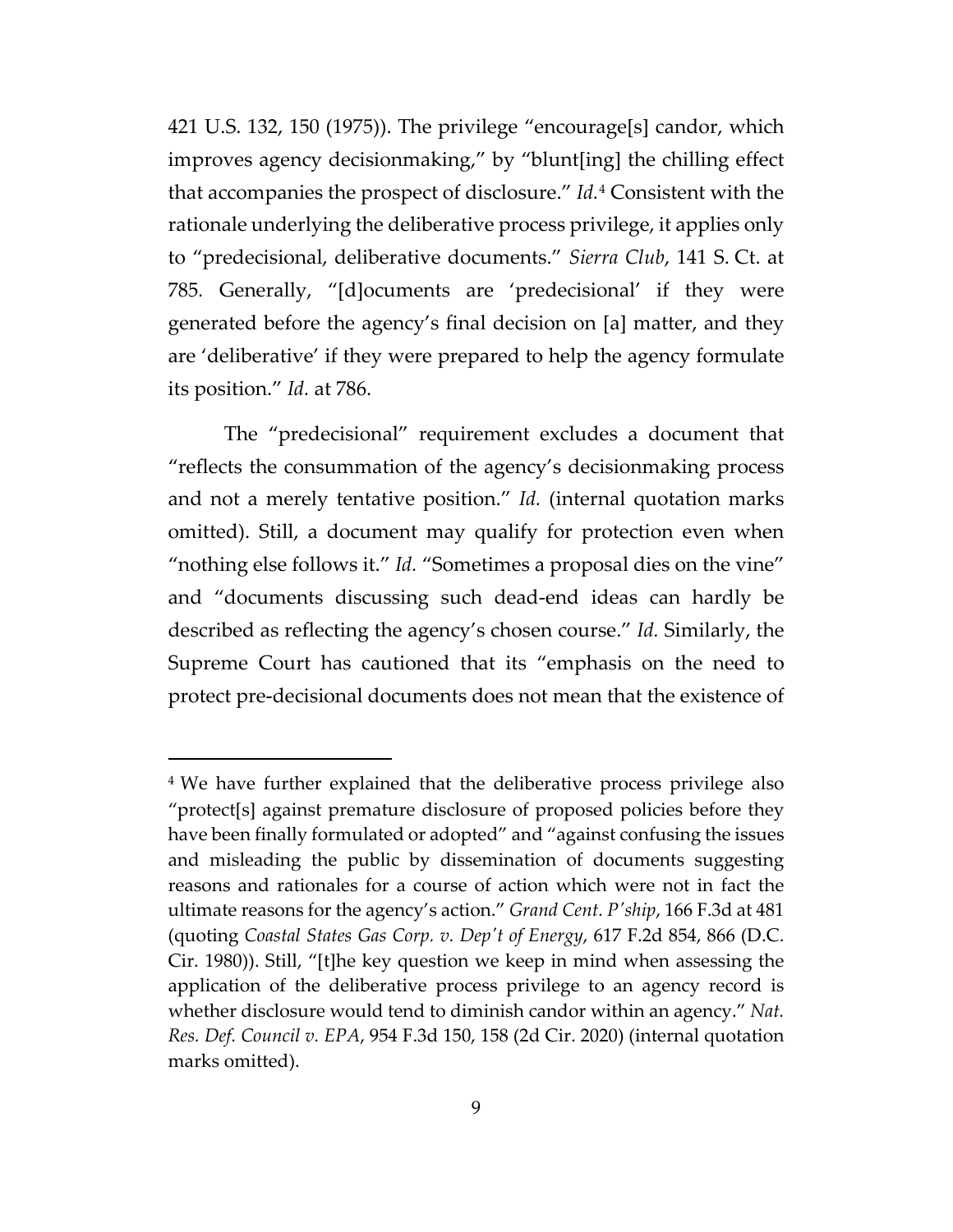421 U.S. 132, 150 (1975)). The privilege "encourage[s] candor, which improves agency decisionmaking," by "blunt[ing] the chilling effect that accompanies the prospect of disclosure." *Id.*[4](#page-8-0) Consistent with the rationale underlying the deliberative process privilege, it applies only to "predecisional, deliberative documents." *Sierra Club*, 141 S. Ct. at 785*.* Generally, "[d]ocuments are 'predecisional' if they were generated before the agency's final decision on [a] matter, and they are 'deliberative' if they were prepared to help the agency formulate its position." *Id.* at 786.

The "predecisional" requirement excludes a document that "reflects the consummation of the agency's decisionmaking process and not a merely tentative position." *Id.* (internal quotation marks omitted). Still, a document may qualify for protection even when "nothing else follows it." *Id.* "Sometimes a proposal dies on the vine" and "documents discussing such dead-end ideas can hardly be described as reflecting the agency's chosen course." *Id.* Similarly, the Supreme Court has cautioned that its "emphasis on the need to protect pre-decisional documents does not mean that the existence of

<span id="page-8-0"></span><sup>&</sup>lt;sup>4</sup> We have further explained that the deliberative process privilege also "protect[s] against premature disclosure of proposed policies before they have been finally formulated or adopted" and "against confusing the issues and misleading the public by dissemination of documents suggesting reasons and rationales for a course of action which were not in fact the ultimate reasons for the agency's action." *Grand Cent. P'ship*, 166 F.3d at 481 (quoting *Coastal States Gas Corp. v. Dep't of Energy*, 617 F.2d 854, 866 (D.C. Cir. 1980)). Still, "[t]he key question we keep in mind when assessing the application of the deliberative process privilege to an agency record is whether disclosure would tend to diminish candor within an agency." *Nat. Res. Def. Council v. EPA*, 954 F.3d 150, 158 (2d Cir. 2020) (internal quotation marks omitted).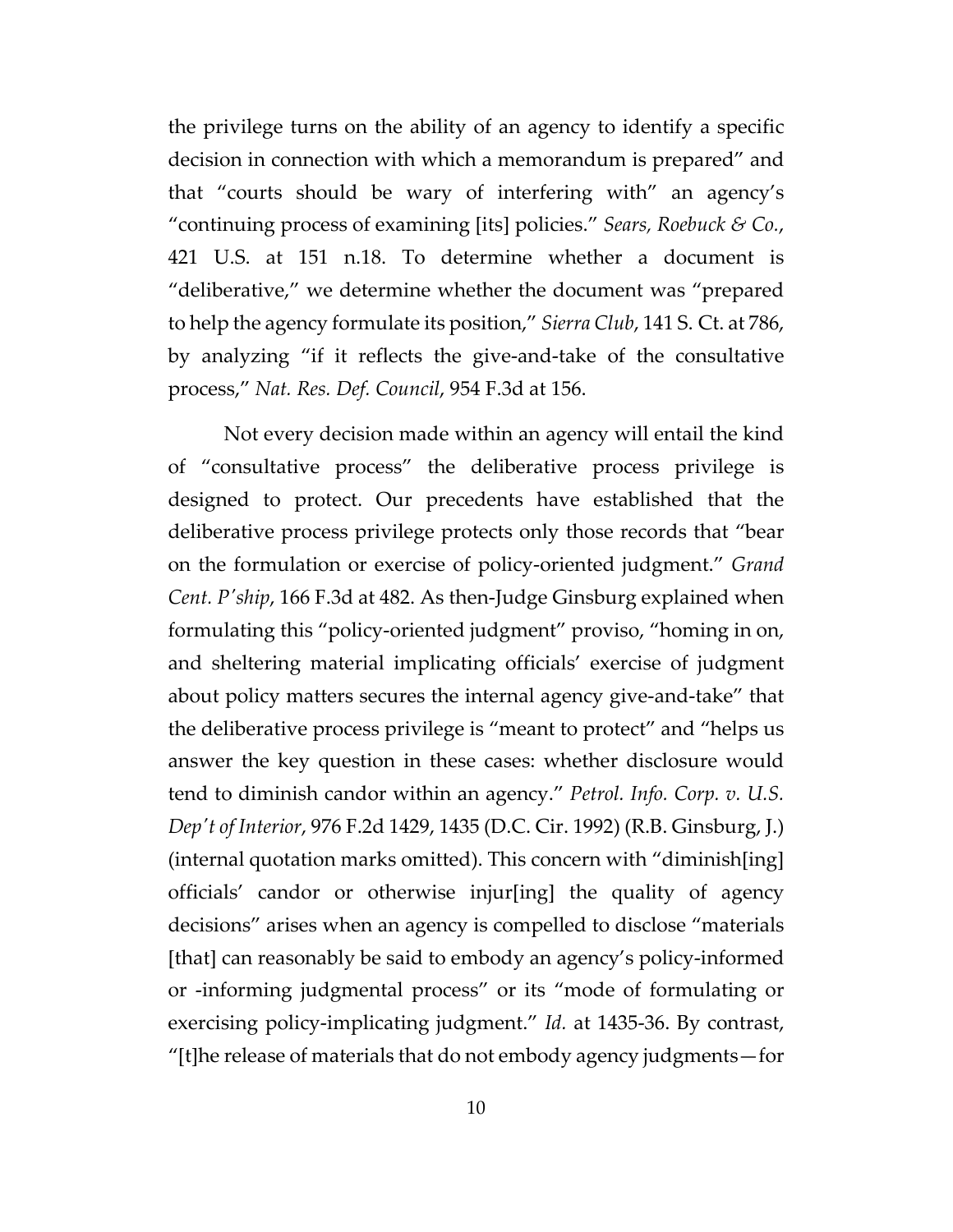the privilege turns on the ability of an agency to identify a specific decision in connection with which a memorandum is prepared" and that "courts should be wary of interfering with" an agency's "continuing process of examining [its] policies." *Sears, Roebuck & Co.*, 421 U.S. at 151 n.18. To determine whether a document is "deliberative," we determine whether the document was "prepared to help the agency formulate its position," *Sierra Club*, 141 S. Ct. at 786, by analyzing "if it reflects the give-and-take of the consultative process," *Nat. Res. Def. Council*, 954 F.3d at 156.

Not every decision made within an agency will entail the kind of "consultative process" the deliberative process privilege is designed to protect. Our precedents have established that the deliberative process privilege protects only those records that "bear on the formulation or exercise of policy-oriented judgment." *Grand Cent. P'ship*, 166 F.3d at 482. As then-Judge Ginsburg explained when formulating this "policy-oriented judgment" proviso, "homing in on, and sheltering material implicating officials' exercise of judgment about policy matters secures the internal agency give-and-take" that the deliberative process privilege is "meant to protect" and "helps us answer the key question in these cases: whether disclosure would tend to diminish candor within an agency." *Petrol. Info. Corp. v. U.S. Dep't of Interior*, 976 F.2d 1429, 1435 (D.C. Cir. 1992) (R.B. Ginsburg, J.) (internal quotation marks omitted). This concern with "diminish[ing] officials' candor or otherwise injur[ing] the quality of agency decisions" arises when an agency is compelled to disclose "materials [that] can reasonably be said to embody an agency's policy-informed or -informing judgmental process" or its "mode of formulating or exercising policy-implicating judgment." *Id.* at 1435-36. By contrast, "[t]he release of materials that do not embody agency judgments—for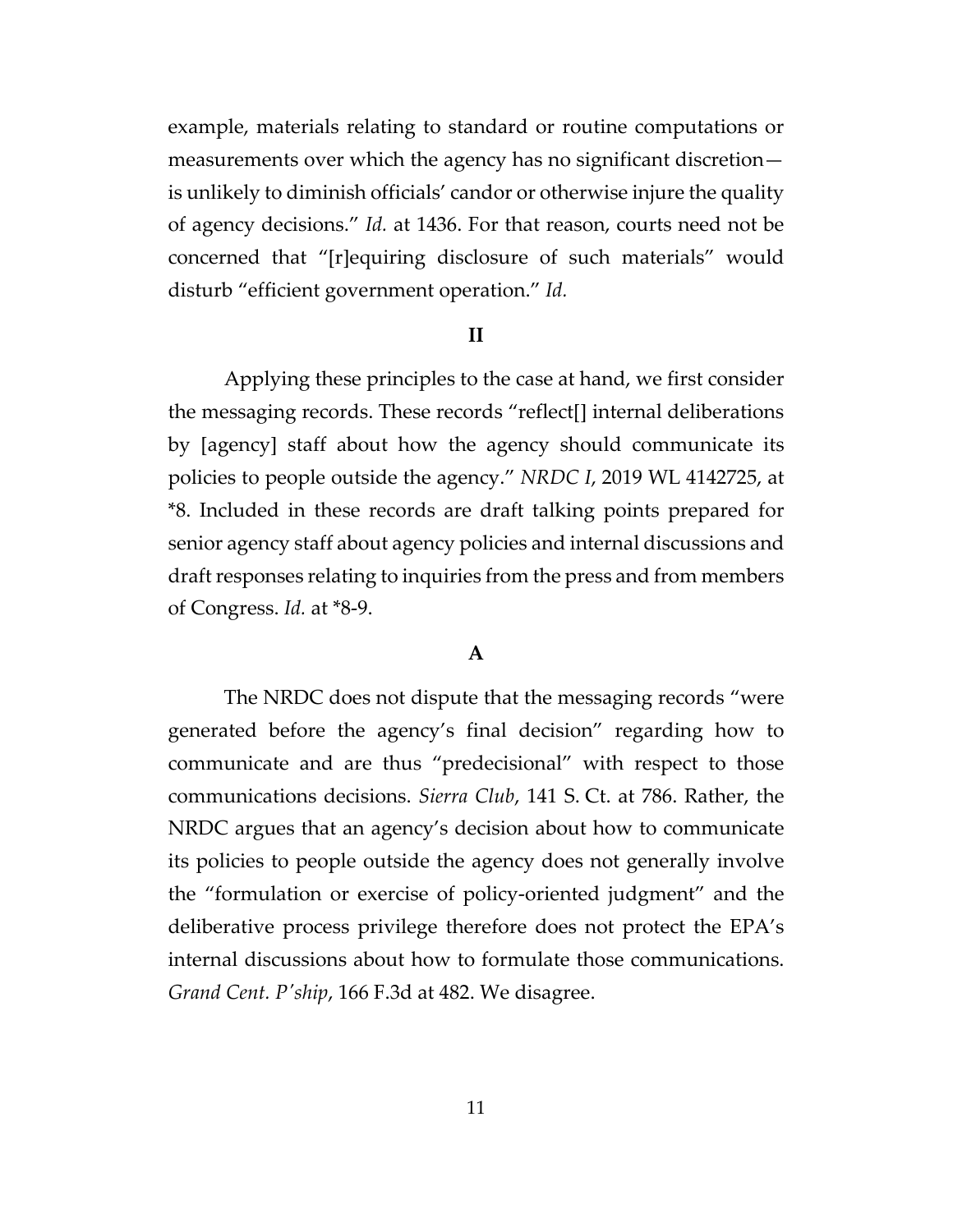example, materials relating to standard or routine computations or measurements over which the agency has no significant discretion is unlikely to diminish officials' candor or otherwise injure the quality of agency decisions." *Id.* at 1436. For that reason, courts need not be concerned that "[r]equiring disclosure of such materials" would disturb "efficient government operation." *Id.*

#### **II**

Applying these principles to the case at hand, we first consider the messaging records. These records "reflect[] internal deliberations by [agency] staff about how the agency should communicate its policies to people outside the agency." *NRDC I*, 2019 WL 4142725, at \*8. Included in these records are draft talking points prepared for senior agency staff about agency policies and internal discussions and draft responses relating to inquiries from the press and from members of Congress. *Id.* at \*8-9.

# **A**

The NRDC does not dispute that the messaging records "were generated before the agency's final decision" regarding how to communicate and are thus "predecisional" with respect to those communications decisions. *Sierra Club*, 141 S. Ct. at 786. Rather, the NRDC argues that an agency's decision about how to communicate its policies to people outside the agency does not generally involve the "formulation or exercise of policy-oriented judgment" and the deliberative process privilege therefore does not protect the EPA's internal discussions about how to formulate those communications. *Grand Cent. P'ship*, 166 F.3d at 482. We disagree.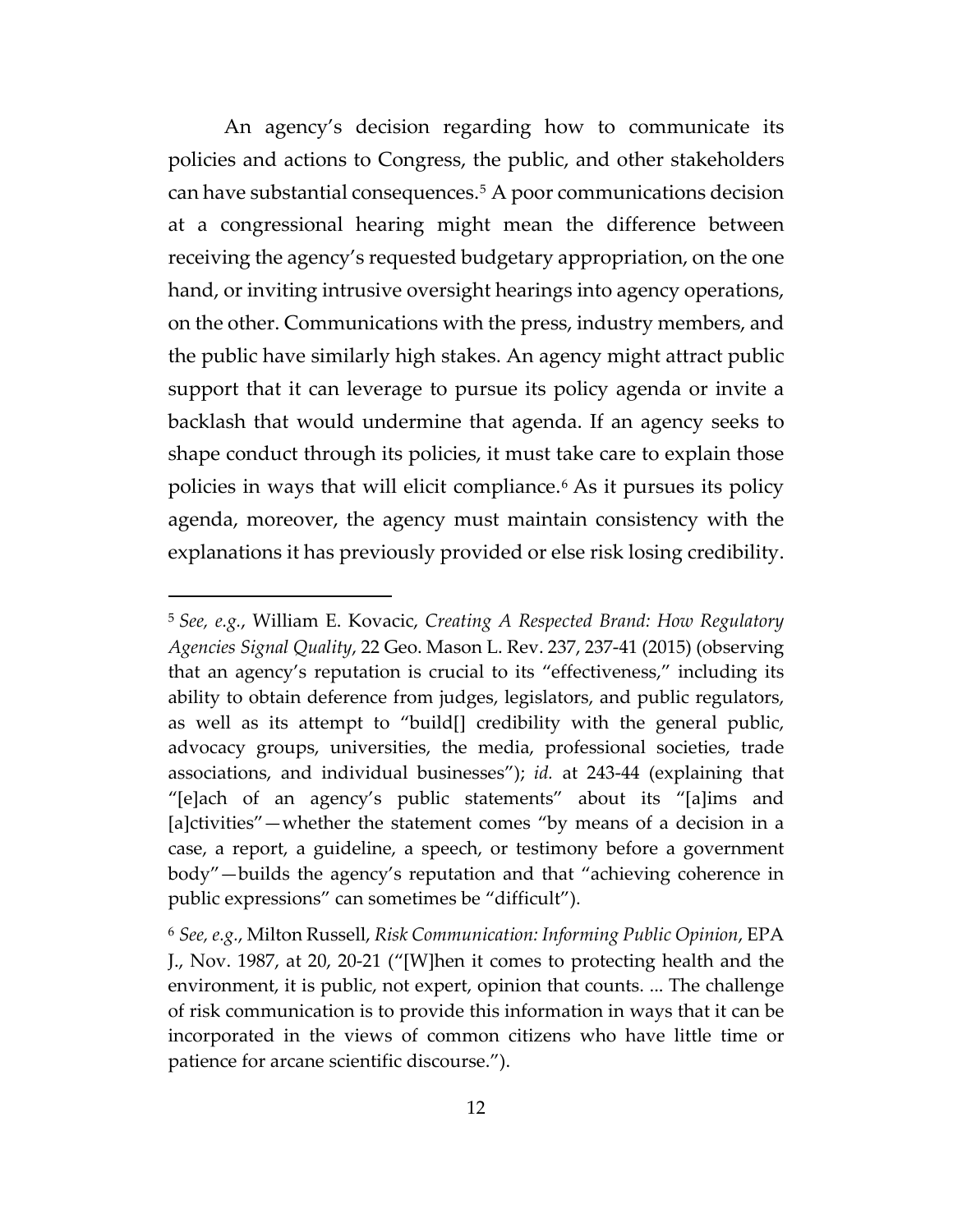An agency's decision regarding how to communicate its policies and actions to Congress, the public, and other stakeholders can have substantial consequences.[5](#page-11-0) A poor communications decision at a congressional hearing might mean the difference between receiving the agency's requested budgetary appropriation, on the one hand, or inviting intrusive oversight hearings into agency operations, on the other. Communications with the press, industry members, and the public have similarly high stakes. An agency might attract public support that it can leverage to pursue its policy agenda or invite a backlash that would undermine that agenda. If an agency seeks to shape conduct through its policies, it must take care to explain those policies in ways that will elicit compliance.[6](#page-11-1) As it pursues its policy agenda, moreover, the agency must maintain consistency with the explanations it has previously provided or else risk losing credibility.

<span id="page-11-0"></span><sup>5</sup> *See, e.g.*, William E. Kovacic, *Creating A Respected Brand: How Regulatory Agencies Signal Quality*, 22 Geo. Mason L. Rev. 237, 237-41 (2015) (observing that an agency's reputation is crucial to its "effectiveness," including its ability to obtain deference from judges, legislators, and public regulators, as well as its attempt to "build[] credibility with the general public, advocacy groups, universities, the media, professional societies, trade associations, and individual businesses"); *id.* at 243-44 (explaining that "[e]ach of an agency's public statements" about its "[a]ims and [a]ctivities"—whether the statement comes "by means of a decision in a case, a report, a guideline, a speech, or testimony before a government body"—builds the agency's reputation and that "achieving coherence in public expressions" can sometimes be "difficult").

<span id="page-11-1"></span><sup>6</sup> *See, e.g.*, Milton Russell, *Risk Communication: Informing Public Opinion*, EPA J., Nov. 1987, at 20, 20-21 ("[W]hen it comes to protecting health and the environment, it is public, not expert, opinion that counts. ... The challenge of risk communication is to provide this information in ways that it can be incorporated in the views of common citizens who have little time or patience for arcane scientific discourse.").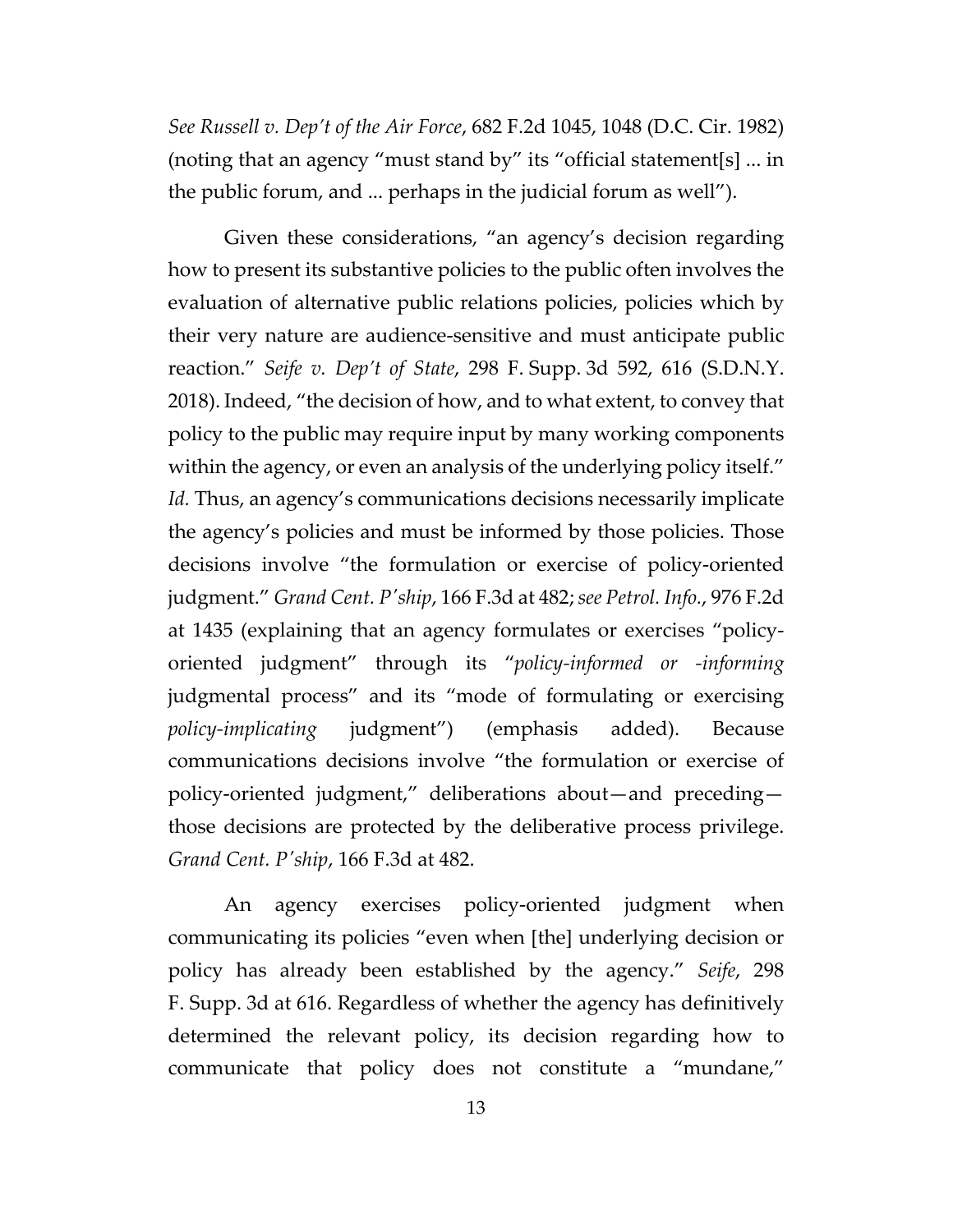*See Russell v. Dep't of the Air Force*, 682 F.2d 1045, 1048 (D.C. Cir. 1982) (noting that an agency "must stand by" its "official statement[s] ... in the public forum, and ... perhaps in the judicial forum as well").

Given these considerations, "an agency's decision regarding how to present its substantive policies to the public often involves the evaluation of alternative public relations policies, policies which by their very nature are audience-sensitive and must anticipate public reaction." *Seife v. Dep't of State*, 298 F. Supp. 3d 592, 616 (S.D.N.Y. 2018). Indeed, "the decision of how, and to what extent, to convey that policy to the public may require input by many working components within the agency, or even an analysis of the underlying policy itself." Id. Thus, an agency's communications decisions necessarily implicate the agency's policies and must be informed by those policies. Those decisions involve "the formulation or exercise of policy-oriented judgment." *Grand Cent. P'ship*, 166 F.3d at 482; *see Petrol. Info.*, 976 F.2d at 1435 (explaining that an agency formulates or exercises "policyoriented judgment" through its "*policy-informed or -informing* judgmental process" and its "mode of formulating or exercising *policy-implicating* judgment") (emphasis added). Because communications decisions involve "the formulation or exercise of policy-oriented judgment," deliberations about—and preceding those decisions are protected by the deliberative process privilege. *Grand Cent. P'ship*, 166 F.3d at 482.

An agency exercises policy-oriented judgment when communicating its policies "even when [the] underlying decision or policy has already been established by the agency." *Seife*, 298 F. Supp. 3d at 616. Regardless of whether the agency has definitively determined the relevant policy, its decision regarding how to communicate that policy does not constitute a "mundane,"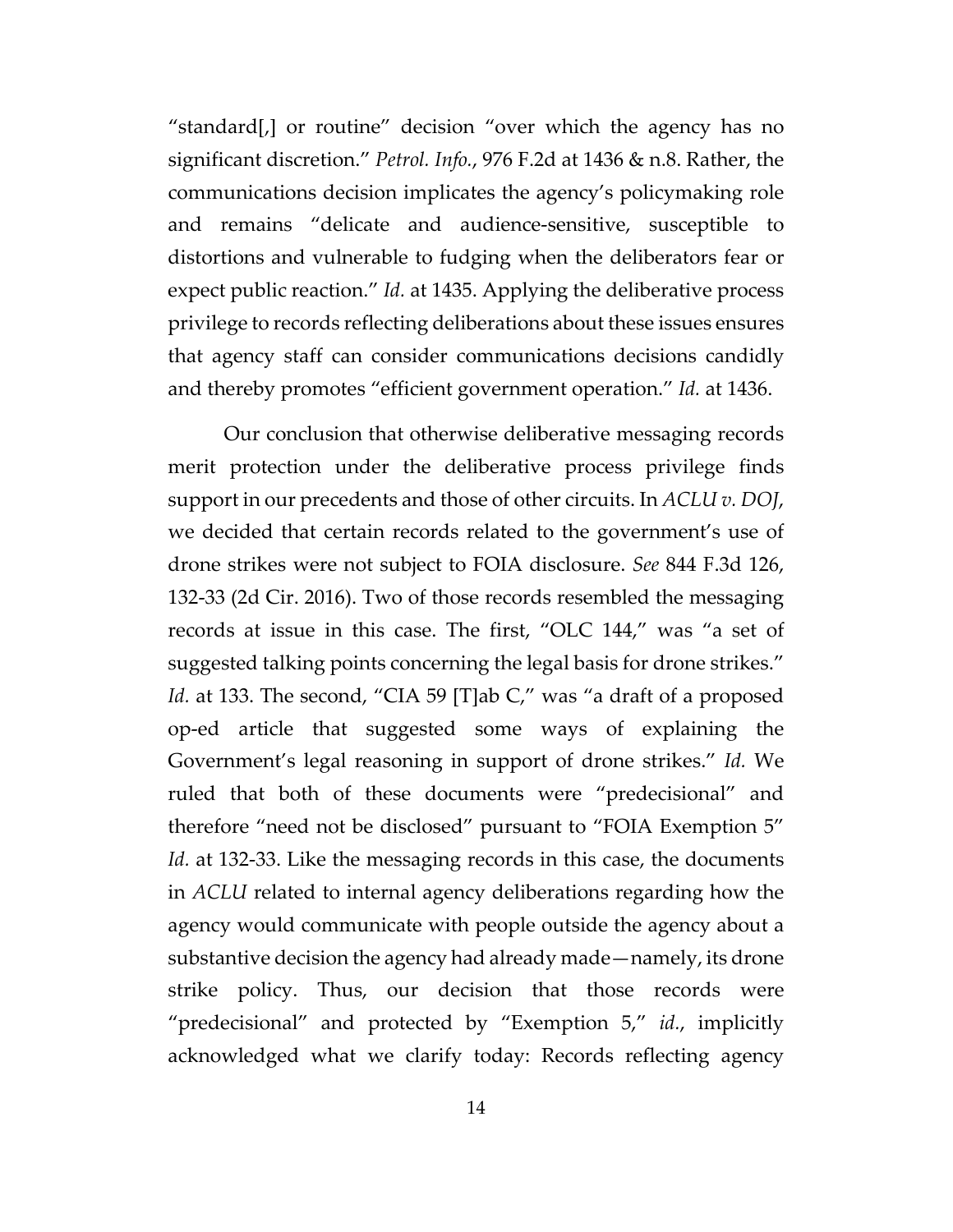"standard[,] or routine" decision "over which the agency has no significant discretion." *Petrol. Info.*, 976 F.2d at 1436 & n.8. Rather, the communications decision implicates the agency's policymaking role and remains "delicate and audience-sensitive, susceptible to distortions and vulnerable to fudging when the deliberators fear or expect public reaction." *Id.* at 1435. Applying the deliberative process privilege to records reflecting deliberations about these issues ensures that agency staff can consider communications decisions candidly and thereby promotes "efficient government operation." *Id.* at 1436.

Our conclusion that otherwise deliberative messaging records merit protection under the deliberative process privilege finds support in our precedents and those of other circuits. In *ACLU v. DOJ*, we decided that certain records related to the government's use of drone strikes were not subject to FOIA disclosure. *See* 844 F.3d 126, 132-33 (2d Cir. 2016). Two of those records resembled the messaging records at issue in this case. The first, "OLC 144," was "a set of suggested talking points concerning the legal basis for drone strikes." Id. at 133. The second, "CIA 59 [T]ab C," was "a draft of a proposed op-ed article that suggested some ways of explaining the Government's legal reasoning in support of drone strikes." *Id.* We ruled that both of these documents were "predecisional" and therefore "need not be disclosed" pursuant to "FOIA Exemption 5" *Id.* at 132-33. Like the messaging records in this case, the documents in *ACLU* related to internal agency deliberations regarding how the agency would communicate with people outside the agency about a substantive decision the agency had already made—namely, its drone strike policy. Thus, our decision that those records were "predecisional" and protected by "Exemption 5," *id.*, implicitly acknowledged what we clarify today: Records reflecting agency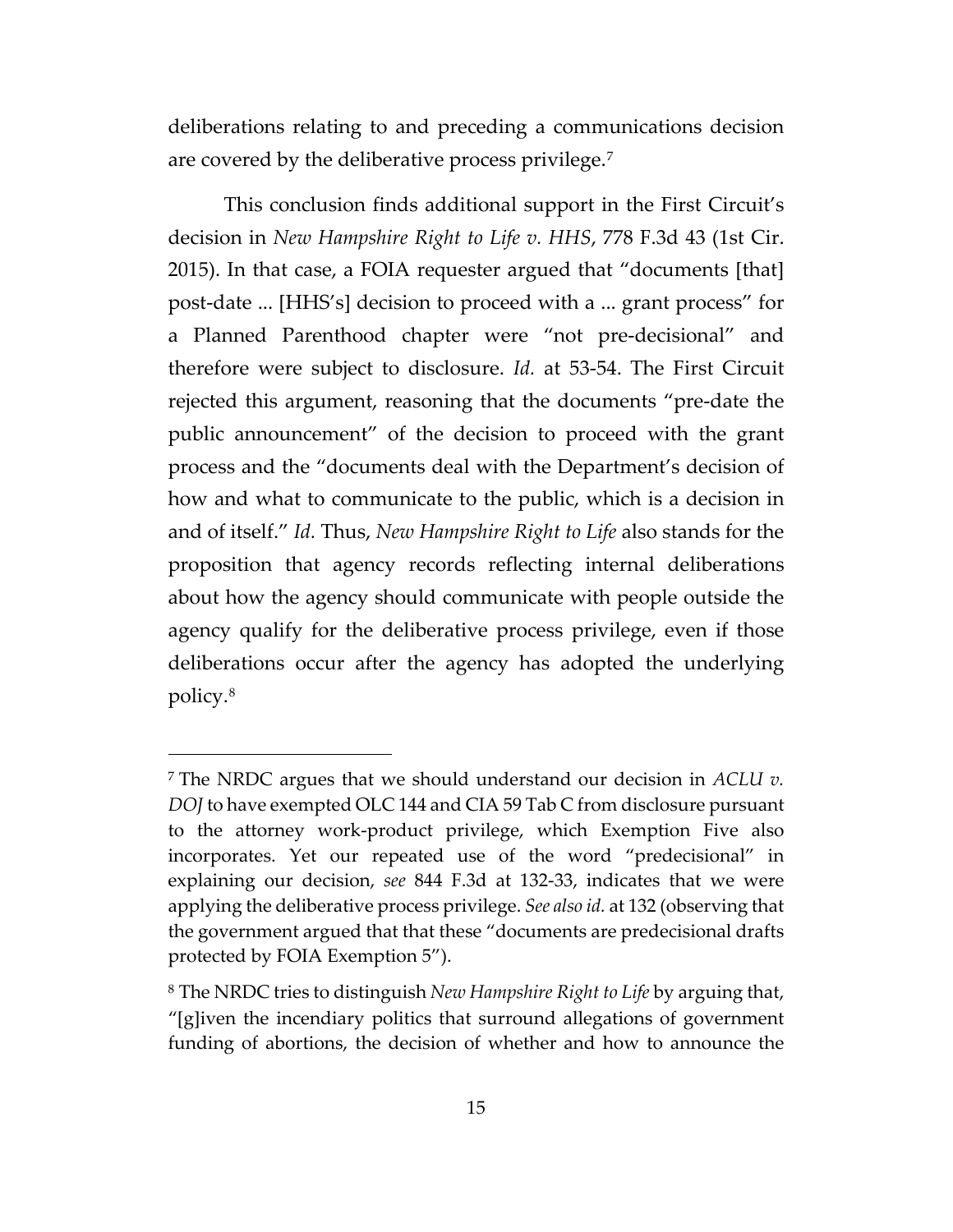deliberations relating to and preceding a communications decision are covered by the deliberative process privilege.[7](#page-14-0)

This conclusion finds additional support in the First Circuit's decision in *New Hampshire Right to Life v. HHS*, 778 F.3d 43 (1st Cir. 2015). In that case, a FOIA requester argued that "documents [that] post-date ... [HHS's] decision to proceed with a ... grant process" for a Planned Parenthood chapter were "not pre-decisional" and therefore were subject to disclosure. *Id.* at 53-54. The First Circuit rejected this argument, reasoning that the documents "pre-date the public announcement" of the decision to proceed with the grant process and the "documents deal with the Department's decision of how and what to communicate to the public, which is a decision in and of itself." *Id.* Thus, *New Hampshire Right to Life* also stands for the proposition that agency records reflecting internal deliberations about how the agency should communicate with people outside the agency qualify for the deliberative process privilege, even if those deliberations occur after the agency has adopted the underlying policy.[8](#page-14-1)

<span id="page-14-0"></span><sup>7</sup> The NRDC argues that we should understand our decision in *ACLU v. DOJ* to have exempted OLC 144 and CIA 59 Tab C from disclosure pursuant to the attorney work-product privilege, which Exemption Five also incorporates. Yet our repeated use of the word "predecisional" in explaining our decision, *see* 844 F.3d at 132-33, indicates that we were applying the deliberative process privilege. *See also id.* at 132 (observing that the government argued that that these "documents are predecisional drafts protected by FOIA Exemption 5").

<span id="page-14-1"></span><sup>8</sup> The NRDC tries to distinguish *New Hampshire Right to Life* by arguing that, "[g]iven the incendiary politics that surround allegations of government funding of abortions, the decision of whether and how to announce the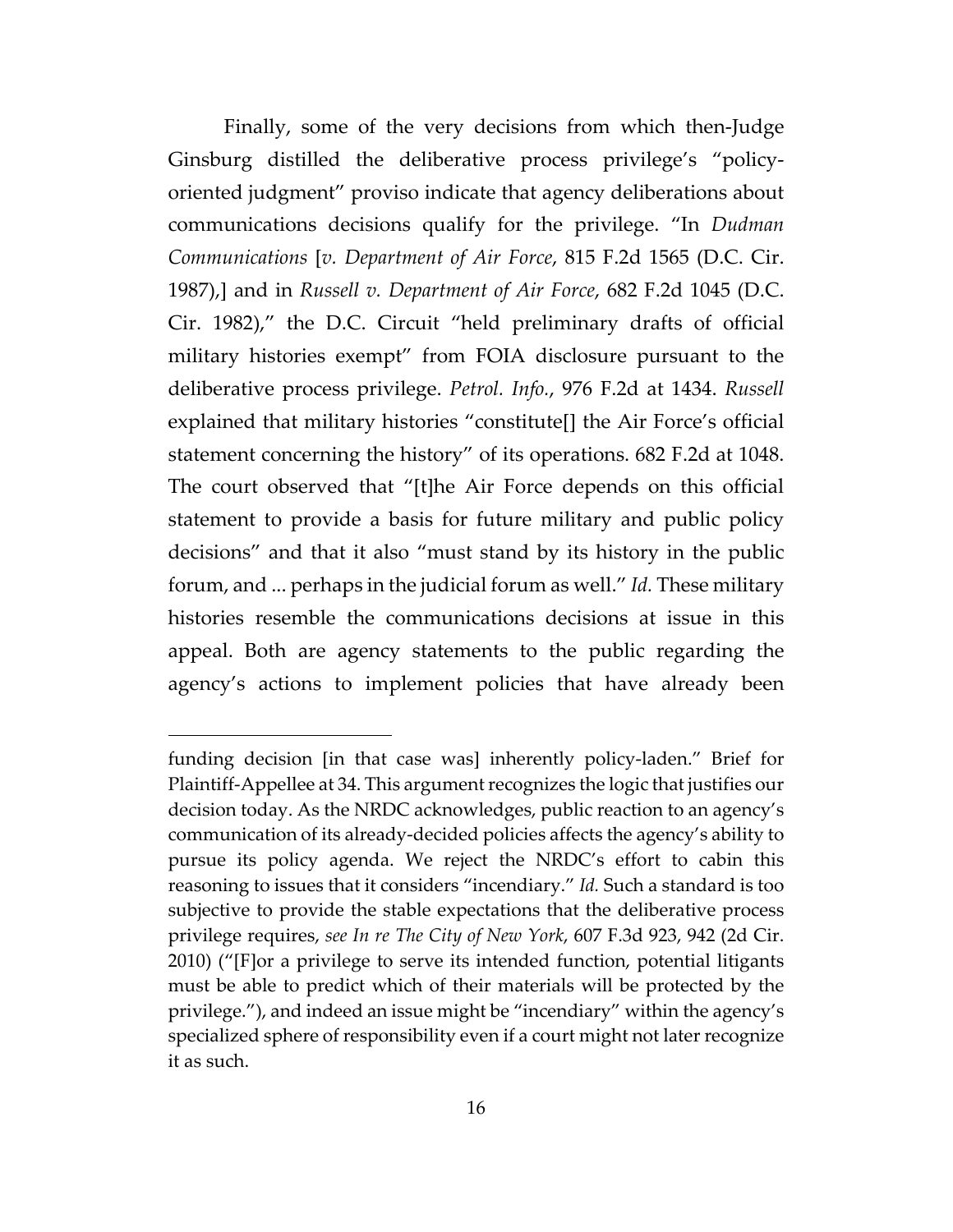Finally, some of the very decisions from which then-Judge Ginsburg distilled the deliberative process privilege's "policyoriented judgment" proviso indicate that agency deliberations about communications decisions qualify for the privilege. "In *Dudman Communications* [*v. Department of Air Force*, 815 F.2d 1565 (D.C. Cir. 1987),] and in *Russell v. Department of Air Force*, 682 F.2d 1045 (D.C. Cir. 1982)," the D.C. Circuit "held preliminary drafts of official military histories exempt" from FOIA disclosure pursuant to the deliberative process privilege. *Petrol. Info.*, 976 F.2d at 1434. *Russell*  explained that military histories "constitute[] the Air Force's official statement concerning the history" of its operations. 682 F.2d at 1048. The court observed that "[t]he Air Force depends on this official statement to provide a basis for future military and public policy decisions" and that it also "must stand by its history in the public forum, and ... perhaps in the judicial forum as well." *Id.* These military histories resemble the communications decisions at issue in this appeal. Both are agency statements to the public regarding the agency's actions to implement policies that have already been

funding decision [in that case was] inherently policy-laden." Brief for Plaintiff-Appellee at 34. This argument recognizes the logic that justifies our decision today. As the NRDC acknowledges, public reaction to an agency's communication of its already-decided policies affects the agency's ability to pursue its policy agenda. We reject the NRDC's effort to cabin this reasoning to issues that it considers "incendiary." *Id.* Such a standard is too subjective to provide the stable expectations that the deliberative process privilege requires, *see In re The City of New York*, 607 F.3d 923, 942 (2d Cir. 2010) ("[F]or a privilege to serve its intended function, potential litigants must be able to predict which of their materials will be protected by the privilege."), and indeed an issue might be "incendiary" within the agency's specialized sphere of responsibility even if a court might not later recognize it as such.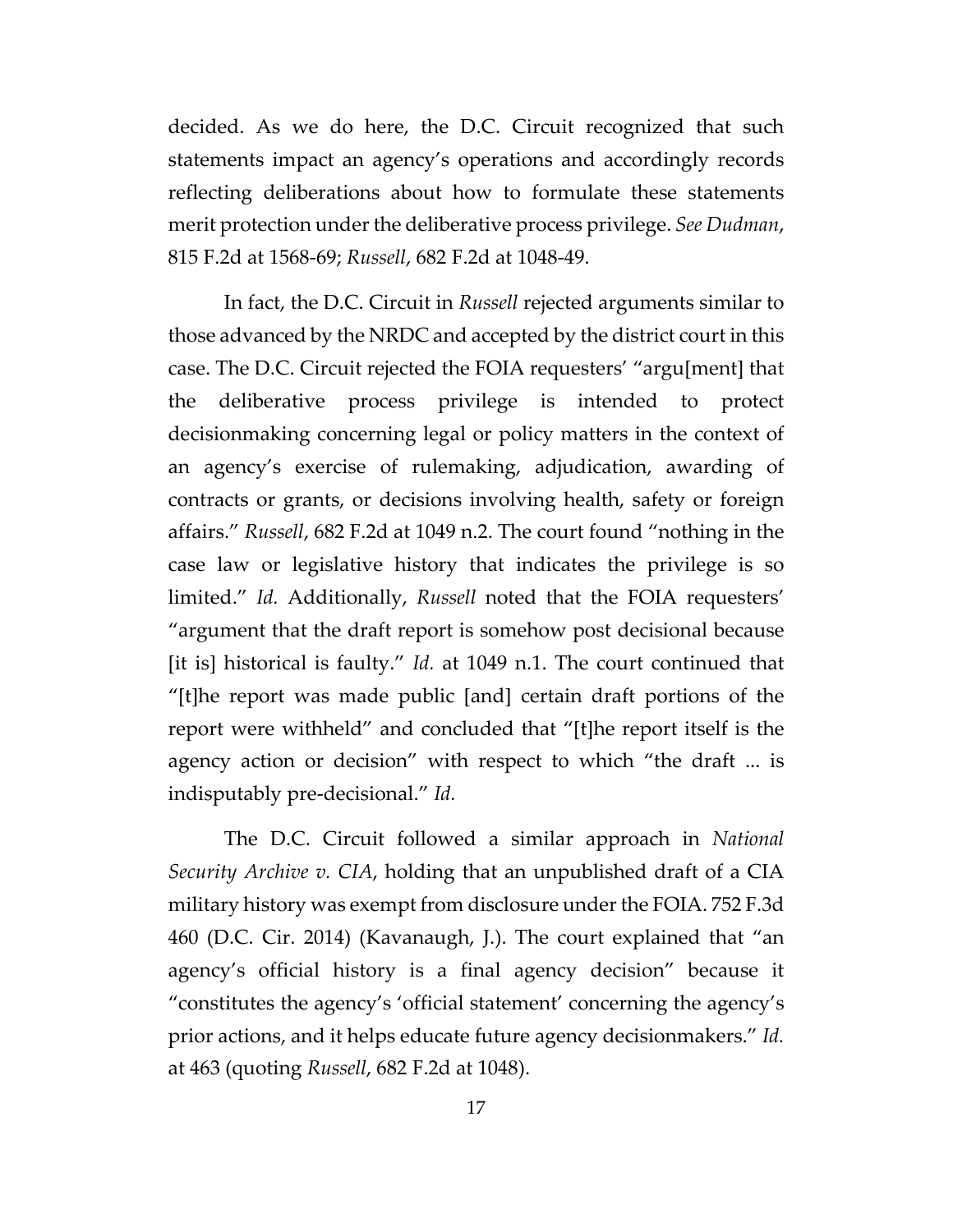decided. As we do here, the D.C. Circuit recognized that such statements impact an agency's operations and accordingly records reflecting deliberations about how to formulate these statements merit protection under the deliberative process privilege. *See Dudman*, 815 F.2d at 1568-69; *Russell*, 682 F.2d at 1048-49.

In fact, the D.C. Circuit in *Russell* rejected arguments similar to those advanced by the NRDC and accepted by the district court in this case. The D.C. Circuit rejected the FOIA requesters' "argu[ment] that the deliberative process privilege is intended to protect decisionmaking concerning legal or policy matters in the context of an agency's exercise of rulemaking, adjudication, awarding of contracts or grants, or decisions involving health, safety or foreign affairs." *Russell*, 682 F.2d at 1049 n.2. The court found "nothing in the case law or legislative history that indicates the privilege is so limited." *Id.* Additionally, *Russell* noted that the FOIA requesters' "argument that the draft report is somehow post decisional because [it is] historical is faulty." *Id.* at 1049 n.1. The court continued that "[t]he report was made public [and] certain draft portions of the report were withheld" and concluded that "[t]he report itself is the agency action or decision" with respect to which "the draft ... is indisputably pre-decisional." *Id.*

The D.C. Circuit followed a similar approach in *National Security Archive v. CIA*, holding that an unpublished draft of a CIA military history was exempt from disclosure under the FOIA. 752 F.3d 460 (D.C. Cir. 2014) (Kavanaugh, J.). The court explained that "an agency's official history is a final agency decision" because it "constitutes the agency's 'official statement' concerning the agency's prior actions, and it helps educate future agency decisionmakers." *Id.*  at 463 (quoting *Russell*, 682 F.2d at 1048).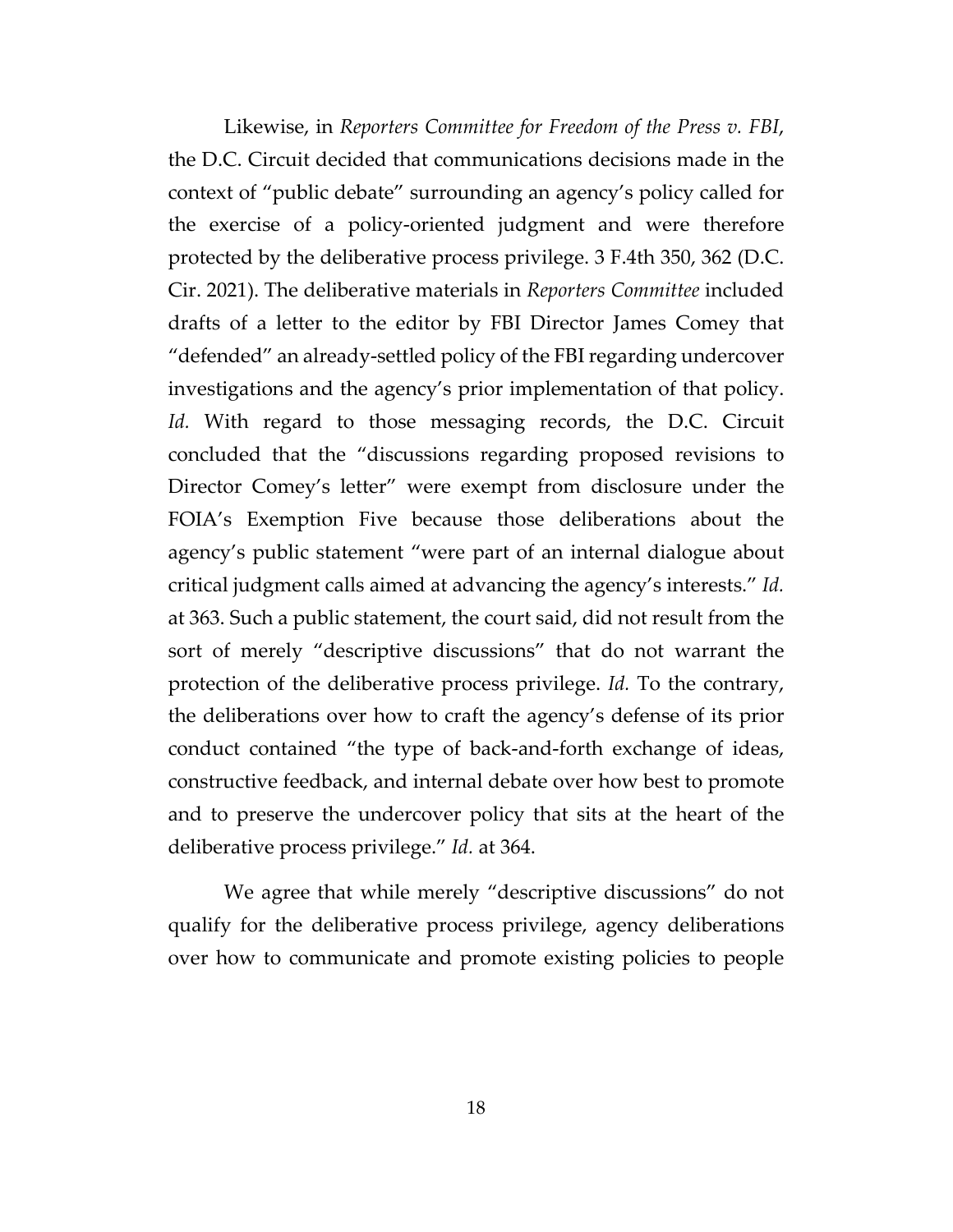Likewise, in *Reporters Committee for Freedom of the Press v. FBI*, the D.C. Circuit decided that communications decisions made in the context of "public debate" surrounding an agency's policy called for the exercise of a policy-oriented judgment and were therefore protected by the deliberative process privilege. 3 F.4th 350, 362 (D.C. Cir. 2021). The deliberative materials in *Reporters Committee* included drafts of a letter to the editor by FBI Director James Comey that "defended" an already-settled policy of the FBI regarding undercover investigations and the agency's prior implementation of that policy. Id. With regard to those messaging records, the D.C. Circuit concluded that the "discussions regarding proposed revisions to Director Comey's letter" were exempt from disclosure under the FOIA's Exemption Five because those deliberations about the agency's public statement "were part of an internal dialogue about critical judgment calls aimed at advancing the agency's interests." *Id.* at 363. Such a public statement, the court said, did not result from the sort of merely "descriptive discussions" that do not warrant the protection of the deliberative process privilege. *Id.* To the contrary, the deliberations over how to craft the agency's defense of its prior conduct contained "the type of back-and-forth exchange of ideas, constructive feedback, and internal debate over how best to promote and to preserve the undercover policy that sits at the heart of the deliberative process privilege." *Id.* at 364.

We agree that while merely "descriptive discussions" do not qualify for the deliberative process privilege, agency deliberations over how to communicate and promote existing policies to people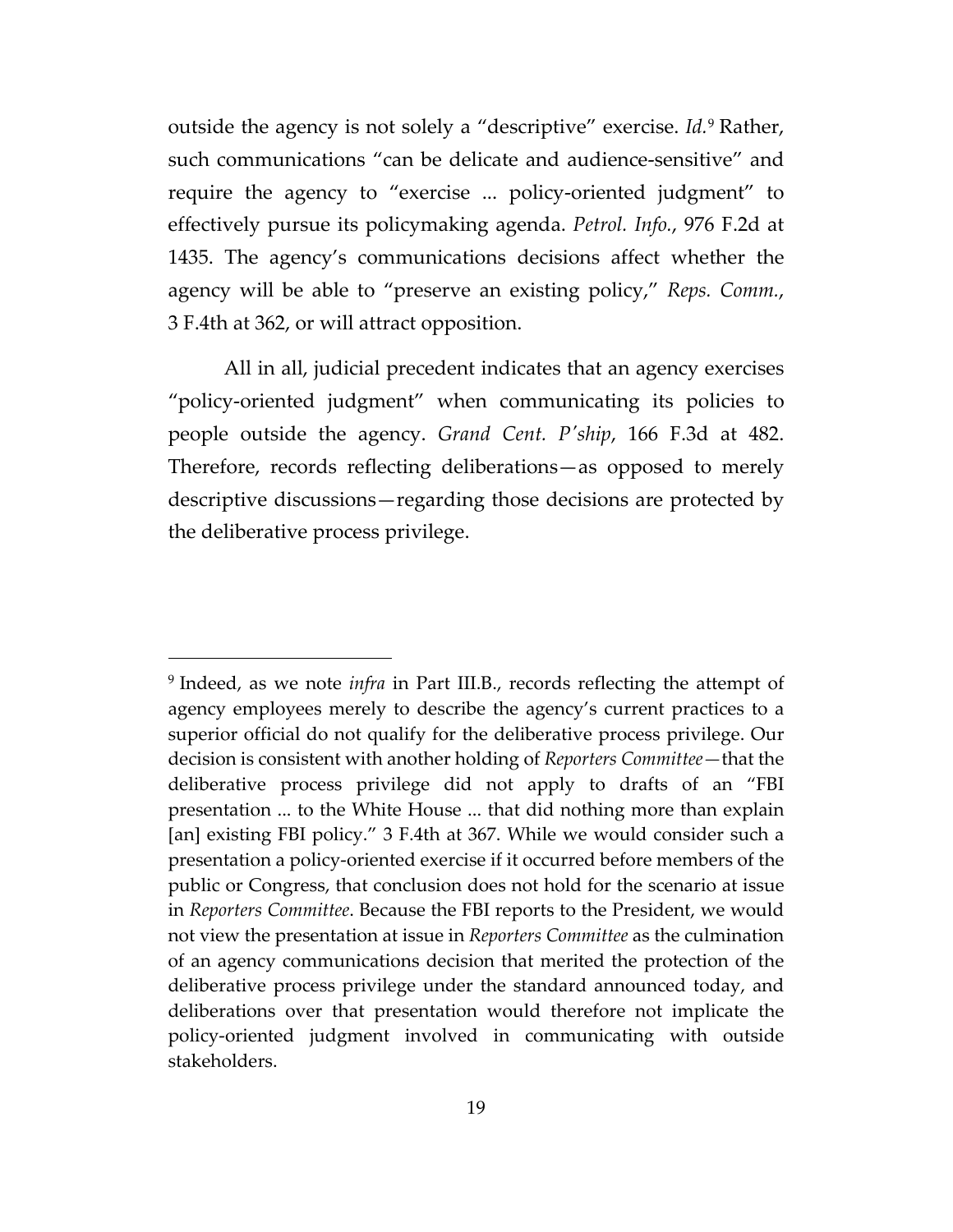outside the agency is not solely a "descriptive" exercise. *Id.*[9](#page-18-0) Rather, such communications "can be delicate and audience-sensitive" and require the agency to "exercise ... policy-oriented judgment" to effectively pursue its policymaking agenda. *Petrol. Info.*, 976 F.2d at 1435. The agency's communications decisions affect whether the agency will be able to "preserve an existing policy," *Reps. Comm.*, 3 F.4th at 362, or will attract opposition.

All in all, judicial precedent indicates that an agency exercises "policy-oriented judgment" when communicating its policies to people outside the agency. *Grand Cent. P'ship*, 166 F.3d at 482. Therefore, records reflecting deliberations—as opposed to merely descriptive discussions—regarding those decisions are protected by the deliberative process privilege.

<span id="page-18-0"></span><sup>9</sup> Indeed, as we note *infra* in Part III.B., records reflecting the attempt of agency employees merely to describe the agency's current practices to a superior official do not qualify for the deliberative process privilege. Our decision is consistent with another holding of *Reporters Committee—*that the deliberative process privilege did not apply to drafts of an "FBI presentation ... to the White House ... that did nothing more than explain [an] existing FBI policy." 3 F.4th at 367. While we would consider such a presentation a policy-oriented exercise if it occurred before members of the public or Congress, that conclusion does not hold for the scenario at issue in *Reporters Committee*. Because the FBI reports to the President, we would not view the presentation at issue in *Reporters Committee* as the culmination of an agency communications decision that merited the protection of the deliberative process privilege under the standard announced today, and deliberations over that presentation would therefore not implicate the policy-oriented judgment involved in communicating with outside stakeholders.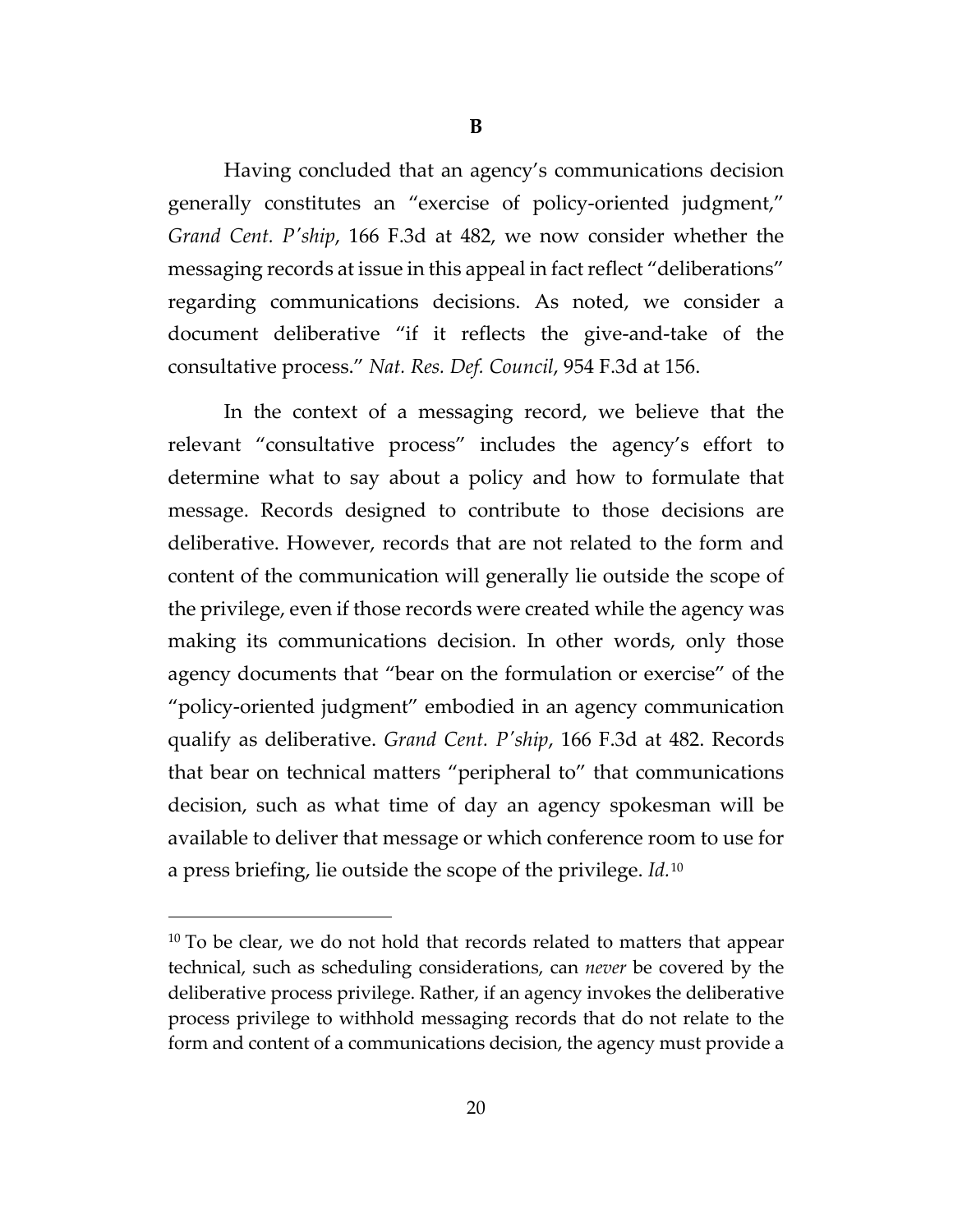Having concluded that an agency's communications decision generally constitutes an "exercise of policy-oriented judgment," *Grand Cent. P'ship*, 166 F.3d at 482, we now consider whether the messaging records at issue in this appeal in fact reflect "deliberations" regarding communications decisions. As noted, we consider a document deliberative "if it reflects the give-and-take of the consultative process." *Nat. Res. Def. Council*, 954 F.3d at 156.

In the context of a messaging record, we believe that the relevant "consultative process" includes the agency's effort to determine what to say about a policy and how to formulate that message. Records designed to contribute to those decisions are deliberative. However, records that are not related to the form and content of the communication will generally lie outside the scope of the privilege, even if those records were created while the agency was making its communications decision. In other words, only those agency documents that "bear on the formulation or exercise" of the "policy-oriented judgment" embodied in an agency communication qualify as deliberative. *Grand Cent. P'ship*, 166 F.3d at 482. Records that bear on technical matters "peripheral to" that communications decision, such as what time of day an agency spokesman will be available to deliver that message or which conference room to use for a press briefing, lie outside the scope of the privilege. *Id.*[10](#page-19-0)

<span id="page-19-0"></span> $10$  To be clear, we do not hold that records related to matters that appear technical, such as scheduling considerations, can *never* be covered by the deliberative process privilege. Rather, if an agency invokes the deliberative process privilege to withhold messaging records that do not relate to the form and content of a communications decision, the agency must provide a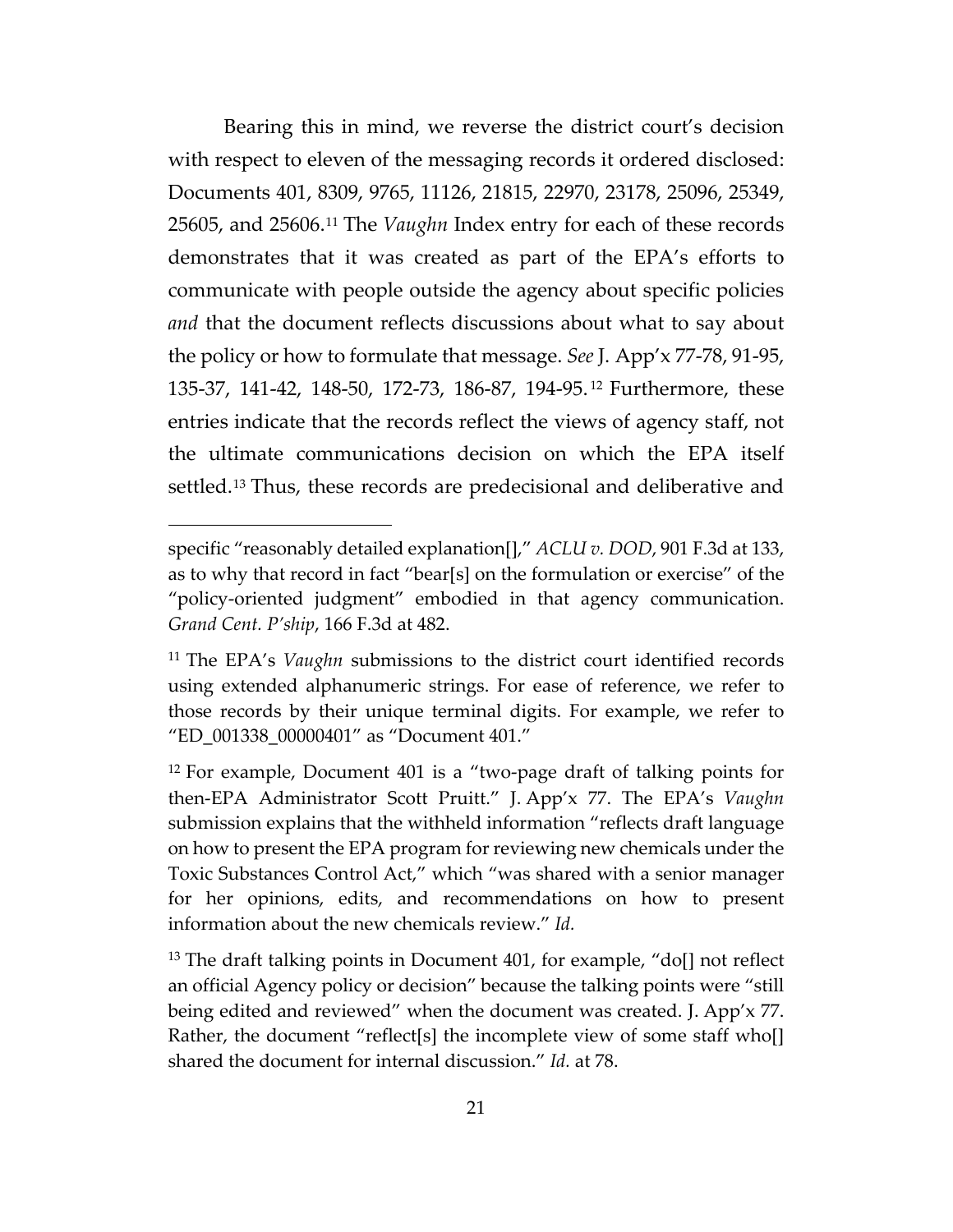Bearing this in mind, we reverse the district court's decision with respect to eleven of the messaging records it ordered disclosed: Documents 401, 8309, 9765, 11126, 21815, 22970, 23178, 25096, 25349, 25605, and 25606.[11](#page-20-0) The *Vaughn* Index entry for each of these records demonstrates that it was created as part of the EPA's efforts to communicate with people outside the agency about specific policies *and* that the document reflects discussions about what to say about the policy or how to formulate that message. *See* J. App'x 77-78, 91-95, 135-37, 141-42, 148-50, 172-73, 186-87, 194-95. [12](#page-20-1) Furthermore, these entries indicate that the records reflect the views of agency staff, not the ultimate communications decision on which the EPA itself settled.<sup>[13](#page-20-2)</sup> Thus, these records are predecisional and deliberative and

specific "reasonably detailed explanation[]," *ACLU v. DOD*, 901 F.3d at 133, as to why that record in fact "bear[s] on the formulation or exercise" of the "policy-oriented judgment" embodied in that agency communication. *Grand Cent. P'ship*, 166 F.3d at 482.

<span id="page-20-0"></span><sup>11</sup> The EPA's *Vaughn* submissions to the district court identified records using extended alphanumeric strings. For ease of reference, we refer to those records by their unique terminal digits. For example, we refer to "ED\_001338\_00000401" as "Document 401."

<span id="page-20-1"></span><sup>&</sup>lt;sup>12</sup> For example, Document 401 is a "two-page draft of talking points for then-EPA Administrator Scott Pruitt." J. App'x 77. The EPA's *Vaughn* submission explains that the withheld information "reflects draft language on how to present the EPA program for reviewing new chemicals under the Toxic Substances Control Act," which "was shared with a senior manager for her opinions, edits, and recommendations on how to present information about the new chemicals review." *Id.*

<span id="page-20-2"></span><sup>&</sup>lt;sup>13</sup> The draft talking points in Document 401, for example, "do[] not reflect an official Agency policy or decision" because the talking points were "still being edited and reviewed" when the document was created. J. App'x 77. Rather, the document "reflect[s] the incomplete view of some staff who[] shared the document for internal discussion." *Id.* at 78.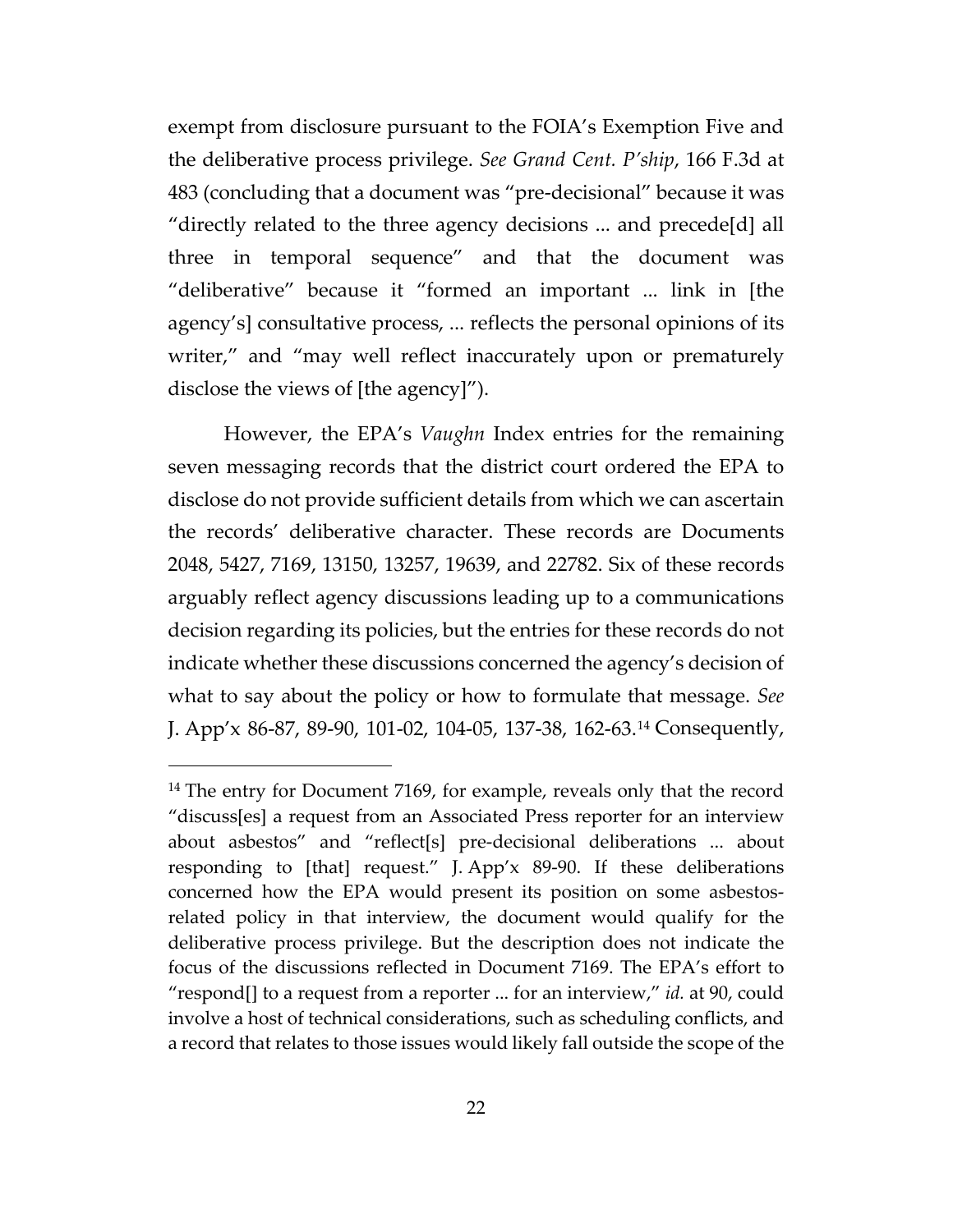exempt from disclosure pursuant to the FOIA's Exemption Five and the deliberative process privilege. *See Grand Cent. P'ship*, 166 F.3d at 483 (concluding that a document was "pre-decisional" because it was "directly related to the three agency decisions ... and precede[d] all three in temporal sequence" and that the document was "deliberative" because it "formed an important ... link in [the agency's] consultative process, ... reflects the personal opinions of its writer," and "may well reflect inaccurately upon or prematurely disclose the views of [the agency]").

However, the EPA's *Vaughn* Index entries for the remaining seven messaging records that the district court ordered the EPA to disclose do not provide sufficient details from which we can ascertain the records' deliberative character. These records are Documents 2048, 5427, 7169, 13150, 13257, 19639, and 22782. Six of these records arguably reflect agency discussions leading up to a communications decision regarding its policies, but the entries for these records do not indicate whether these discussions concerned the agency's decision of what to say about the policy or how to formulate that message. *See*  J. App'x 86-87, 89-90, 101-02, 104-05, 137-38, 162-63.[14](#page-21-0) Consequently,

<span id="page-21-0"></span><sup>&</sup>lt;sup>14</sup> The entry for Document 7169, for example, reveals only that the record "discuss[es] a request from an Associated Press reporter for an interview about asbestos" and "reflect[s] pre-decisional deliberations ... about responding to [that] request." J. App'x 89-90. If these deliberations concerned how the EPA would present its position on some asbestosrelated policy in that interview, the document would qualify for the deliberative process privilege. But the description does not indicate the focus of the discussions reflected in Document 7169. The EPA's effort to "respond[] to a request from a reporter ... for an interview," *id.* at 90, could involve a host of technical considerations, such as scheduling conflicts, and a record that relates to those issues would likely fall outside the scope of the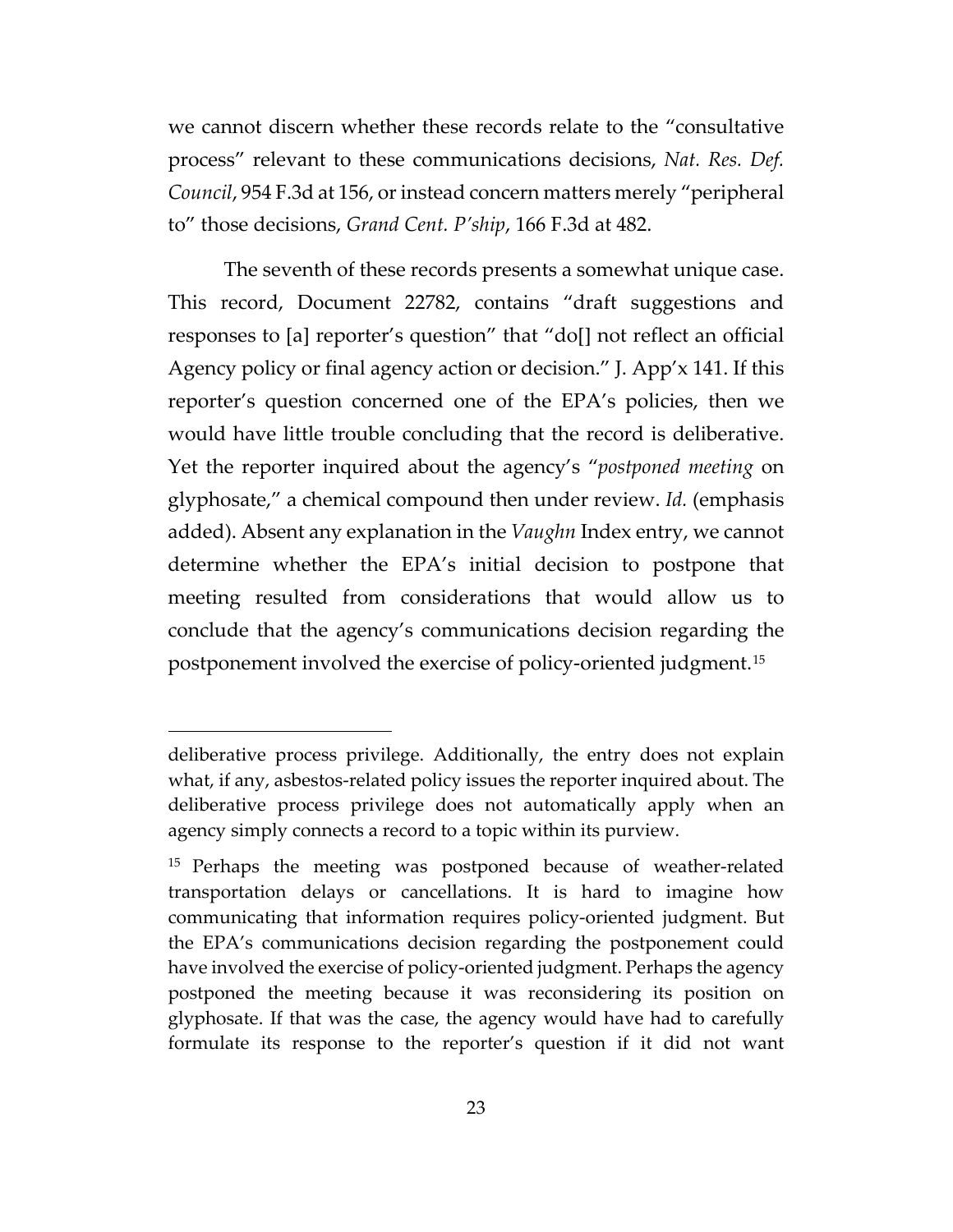we cannot discern whether these records relate to the "consultative process" relevant to these communications decisions, *Nat. Res. Def. Council*, 954 F.3d at 156, or instead concern matters merely "peripheral to" those decisions, *Grand Cent. P'ship*, 166 F.3d at 482.

The seventh of these records presents a somewhat unique case. This record, Document 22782, contains "draft suggestions and responses to [a] reporter's question" that "do[] not reflect an official Agency policy or final agency action or decision." J. App'x 141. If this reporter's question concerned one of the EPA's policies, then we would have little trouble concluding that the record is deliberative. Yet the reporter inquired about the agency's "*postponed meeting* on glyphosate," a chemical compound then under review. *Id.* (emphasis added). Absent any explanation in the *Vaughn* Index entry, we cannot determine whether the EPA's initial decision to postpone that meeting resulted from considerations that would allow us to conclude that the agency's communications decision regarding the postponement involved the exercise of policy-oriented judgment.[15](#page-22-0)

deliberative process privilege. Additionally, the entry does not explain what, if any, asbestos-related policy issues the reporter inquired about. The deliberative process privilege does not automatically apply when an agency simply connects a record to a topic within its purview.

<span id="page-22-0"></span><sup>&</sup>lt;sup>15</sup> Perhaps the meeting was postponed because of weather-related transportation delays or cancellations. It is hard to imagine how communicating that information requires policy-oriented judgment. But the EPA's communications decision regarding the postponement could have involved the exercise of policy-oriented judgment. Perhaps the agency postponed the meeting because it was reconsidering its position on glyphosate. If that was the case, the agency would have had to carefully formulate its response to the reporter's question if it did not want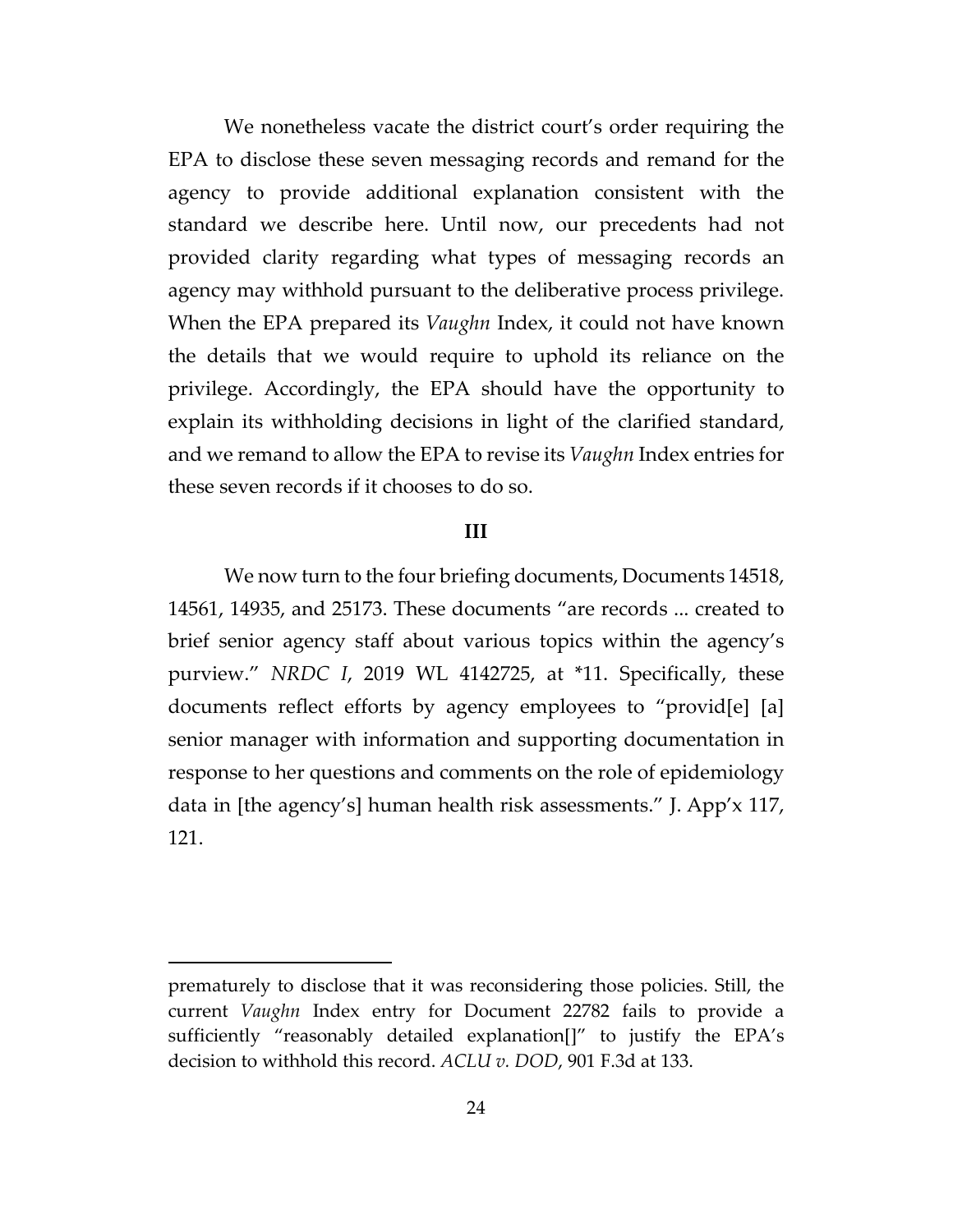We nonetheless vacate the district court's order requiring the EPA to disclose these seven messaging records and remand for the agency to provide additional explanation consistent with the standard we describe here. Until now, our precedents had not provided clarity regarding what types of messaging records an agency may withhold pursuant to the deliberative process privilege. When the EPA prepared its *Vaughn* Index, it could not have known the details that we would require to uphold its reliance on the privilege. Accordingly, the EPA should have the opportunity to explain its withholding decisions in light of the clarified standard, and we remand to allow the EPA to revise its *Vaughn* Index entries for these seven records if it chooses to do so.

# **III**

We now turn to the four briefing documents, Documents 14518, 14561, 14935, and 25173. These documents "are records ... created to brief senior agency staff about various topics within the agency's purview." *NRDC I*, 2019 WL 4142725, at \*11. Specifically, these documents reflect efforts by agency employees to "provid[e] [a] senior manager with information and supporting documentation in response to her questions and comments on the role of epidemiology data in [the agency's] human health risk assessments." J. App'x 117, 121.

prematurely to disclose that it was reconsidering those policies. Still, the current *Vaughn* Index entry for Document 22782 fails to provide a sufficiently "reasonably detailed explanation[]" to justify the EPA's decision to withhold this record. *ACLU v. DOD*, 901 F.3d at 133.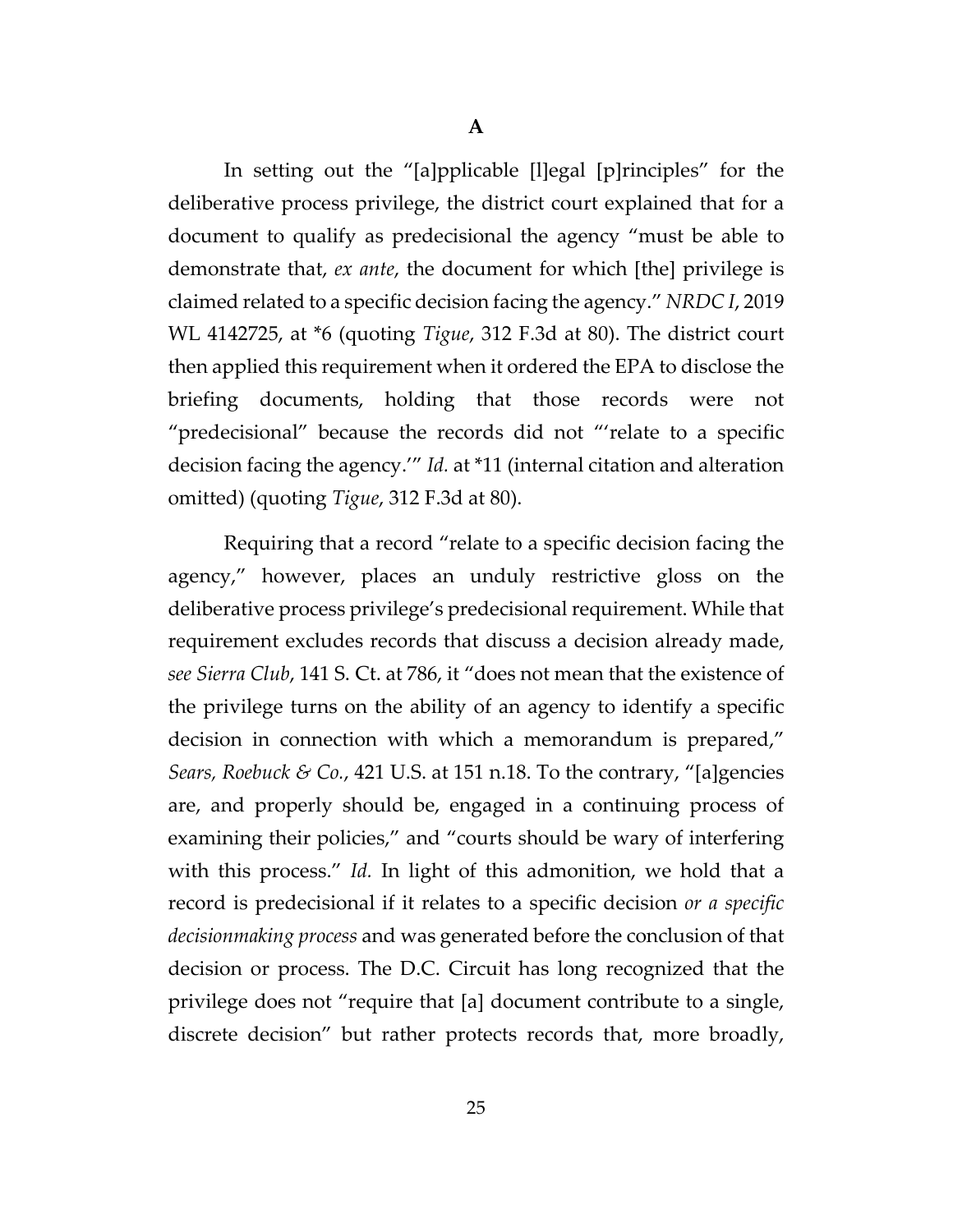In setting out the "[a]pplicable [l]egal [p]rinciples" for the deliberative process privilege, the district court explained that for a document to qualify as predecisional the agency "must be able to demonstrate that, *ex ante*, the document for which [the] privilege is claimed related to a specific decision facing the agency." *NRDC I*, 2019 WL 4142725, at \*6 (quoting *Tigue*, 312 F.3d at 80). The district court then applied this requirement when it ordered the EPA to disclose the briefing documents, holding that those records were not "predecisional" because the records did not "'relate to a specific decision facing the agency.'" *Id.* at \*11 (internal citation and alteration omitted) (quoting *Tigue*, 312 F.3d at 80).

Requiring that a record "relate to a specific decision facing the agency," however, places an unduly restrictive gloss on the deliberative process privilege's predecisional requirement. While that requirement excludes records that discuss a decision already made, *see Sierra Club*, 141 S. Ct. at 786, it "does not mean that the existence of the privilege turns on the ability of an agency to identify a specific decision in connection with which a memorandum is prepared," *Sears, Roebuck & Co.*, 421 U.S. at 151 n.18. To the contrary, "[a]gencies are, and properly should be, engaged in a continuing process of examining their policies," and "courts should be wary of interfering with this process." *Id.* In light of this admonition, we hold that a record is predecisional if it relates to a specific decision *or a specific decisionmaking process* and was generated before the conclusion of that decision or process. The D.C. Circuit has long recognized that the privilege does not "require that [a] document contribute to a single, discrete decision" but rather protects records that, more broadly,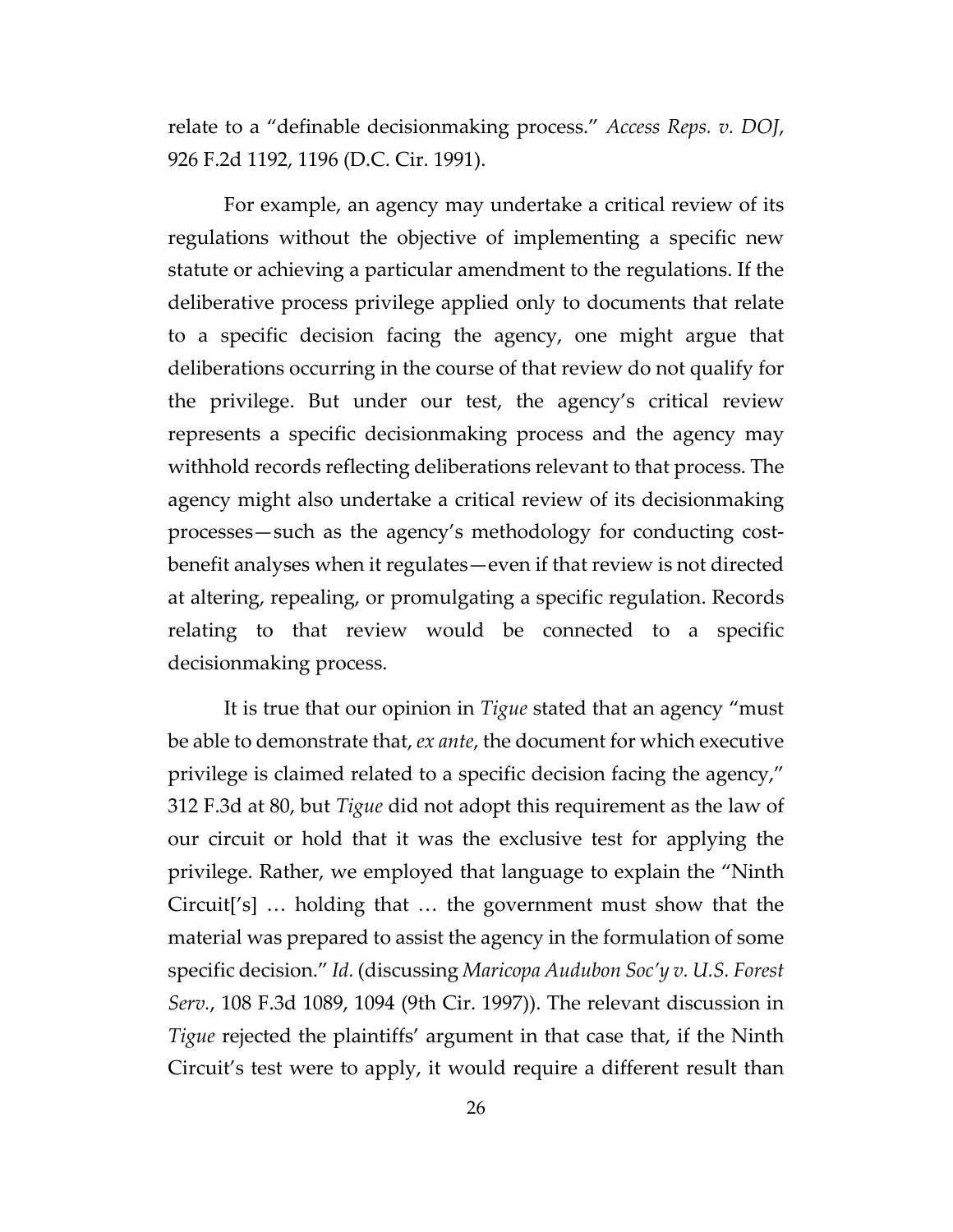relate to a "definable decisionmaking process." *Access Reps. v. DOJ*, 926 F.2d 1192, 1196 (D.C. Cir. 1991).

For example, an agency may undertake a critical review of its regulations without the objective of implementing a specific new statute or achieving a particular amendment to the regulations. If the deliberative process privilege applied only to documents that relate to a specific decision facing the agency, one might argue that deliberations occurring in the course of that review do not qualify for the privilege. But under our test, the agency's critical review represents a specific decisionmaking process and the agency may withhold records reflecting deliberations relevant to that process. The agency might also undertake a critical review of its decisionmaking processes—such as the agency's methodology for conducting costbenefit analyses when it regulates—even if that review is not directed at altering, repealing, or promulgating a specific regulation. Records relating to that review would be connected to a specific decisionmaking process.

It is true that our opinion in *Tigue* stated that an agency "must be able to demonstrate that, *ex ante*, the document for which executive privilege is claimed related to a specific decision facing the agency," 312 F.3d at 80, but *Tigue* did not adopt this requirement as the law of our circuit or hold that it was the exclusive test for applying the privilege. Rather, we employed that language to explain the "Ninth Circuit['s] … holding that … the government must show that the material was prepared to assist the agency in the formulation of some specific decision." *Id.* (discussing *Maricopa Audubon Soc'y v. U.S. Forest Serv.*, 108 F.3d 1089, 1094 (9th Cir. 1997)). The relevant discussion in *Tigue* rejected the plaintiffs' argument in that case that, if the Ninth Circuit's test were to apply, it would require a different result than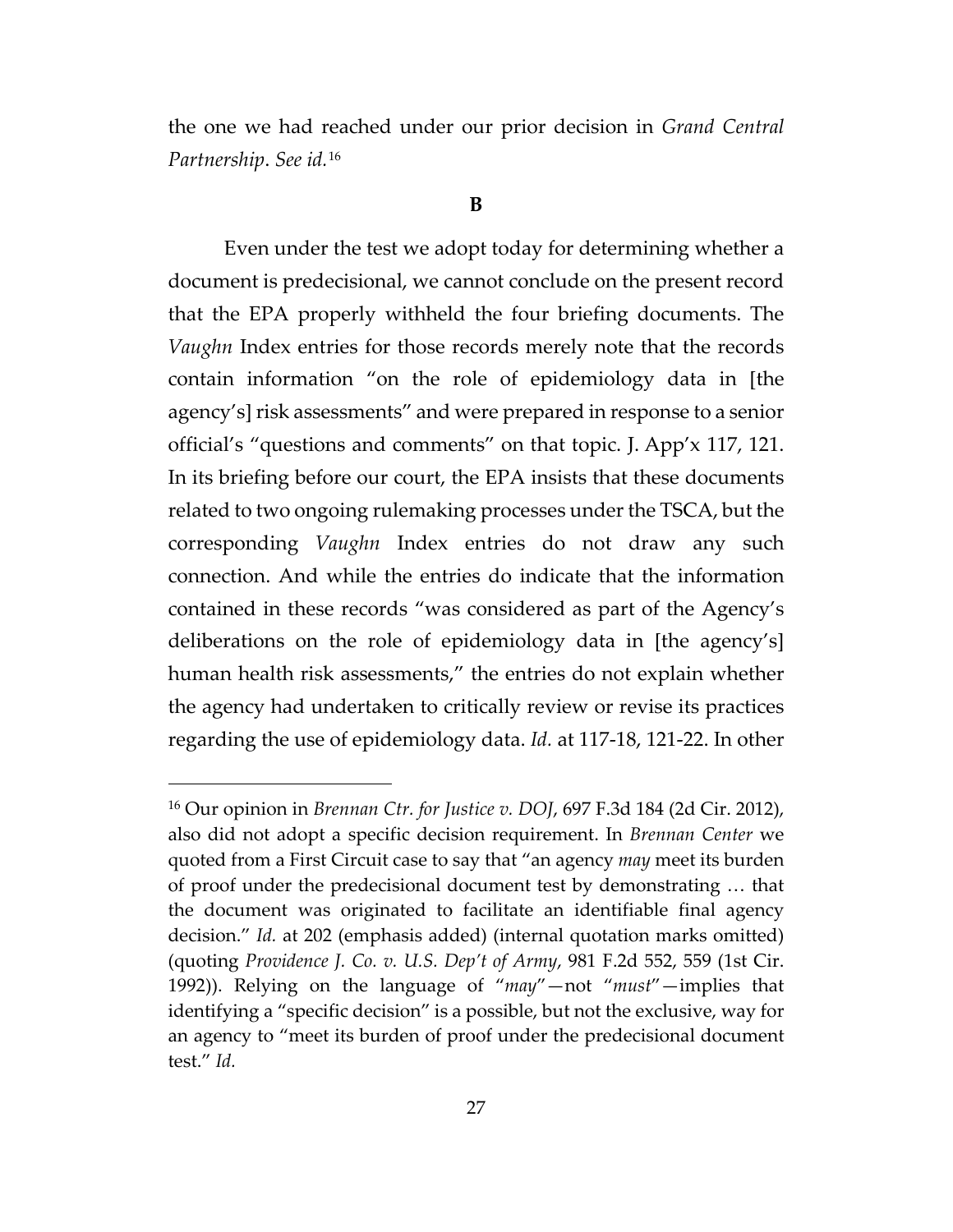the one we had reached under our prior decision in *Grand Central Partnership*. *See id.*[16](#page-26-0)

#### **B**

Even under the test we adopt today for determining whether a document is predecisional, we cannot conclude on the present record that the EPA properly withheld the four briefing documents. The *Vaughn* Index entries for those records merely note that the records contain information "on the role of epidemiology data in [the agency's] risk assessments" and were prepared in response to a senior official's "questions and comments" on that topic. J. App'x 117, 121. In its briefing before our court, the EPA insists that these documents related to two ongoing rulemaking processes under the TSCA, but the corresponding *Vaughn* Index entries do not draw any such connection. And while the entries do indicate that the information contained in these records "was considered as part of the Agency's deliberations on the role of epidemiology data in [the agency's] human health risk assessments," the entries do not explain whether the agency had undertaken to critically review or revise its practices regarding the use of epidemiology data. *Id.* at 117-18, 121-22. In other

<span id="page-26-0"></span><sup>16</sup> Our opinion in *Brennan Ctr. for Justice v. DOJ*, 697 F.3d 184 (2d Cir. 2012), also did not adopt a specific decision requirement. In *Brennan Center* we quoted from a First Circuit case to say that "an agency *may* meet its burden of proof under the predecisional document test by demonstrating … that the document was originated to facilitate an identifiable final agency decision." *Id.* at 202 (emphasis added) (internal quotation marks omitted) (quoting *Providence J. Co. v. U.S. Dep't of Army*, 981 F.2d 552, 559 (1st Cir. 1992)). Relying on the language of "*may*"—not "*must*"—implies that identifying a "specific decision" is a possible, but not the exclusive, way for an agency to "meet its burden of proof under the predecisional document test." *Id.*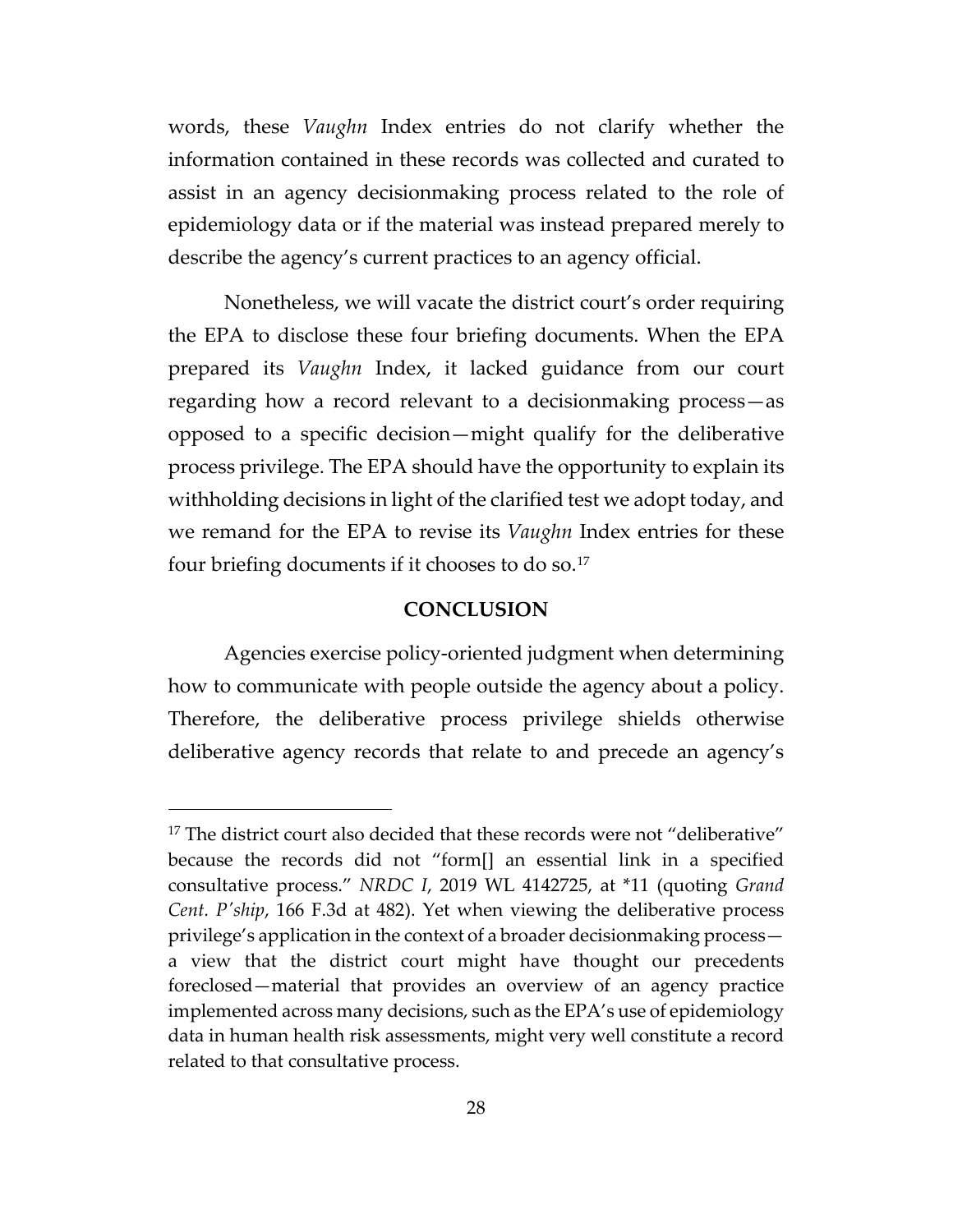words, these *Vaughn* Index entries do not clarify whether the information contained in these records was collected and curated to assist in an agency decisionmaking process related to the role of epidemiology data or if the material was instead prepared merely to describe the agency's current practices to an agency official.

Nonetheless, we will vacate the district court's order requiring the EPA to disclose these four briefing documents. When the EPA prepared its *Vaughn* Index, it lacked guidance from our court regarding how a record relevant to a decisionmaking process—as opposed to a specific decision—might qualify for the deliberative process privilege. The EPA should have the opportunity to explain its withholding decisions in light of the clarified test we adopt today, and we remand for the EPA to revise its *Vaughn* Index entries for these four briefing documents if it chooses to do so.<sup>[17](#page-27-0)</sup>

# **CONCLUSION**

Agencies exercise policy-oriented judgment when determining how to communicate with people outside the agency about a policy. Therefore, the deliberative process privilege shields otherwise deliberative agency records that relate to and precede an agency's

<span id="page-27-0"></span><sup>&</sup>lt;sup>17</sup> The district court also decided that these records were not "deliberative" because the records did not "form[] an essential link in a specified consultative process." *NRDC I*, 2019 WL 4142725, at \*11 (quoting *Grand Cent. P'ship*, 166 F.3d at 482). Yet when viewing the deliberative process privilege's application in the context of a broader decisionmaking process a view that the district court might have thought our precedents foreclosed—material that provides an overview of an agency practice implemented across many decisions, such as the EPA's use of epidemiology data in human health risk assessments, might very well constitute a record related to that consultative process.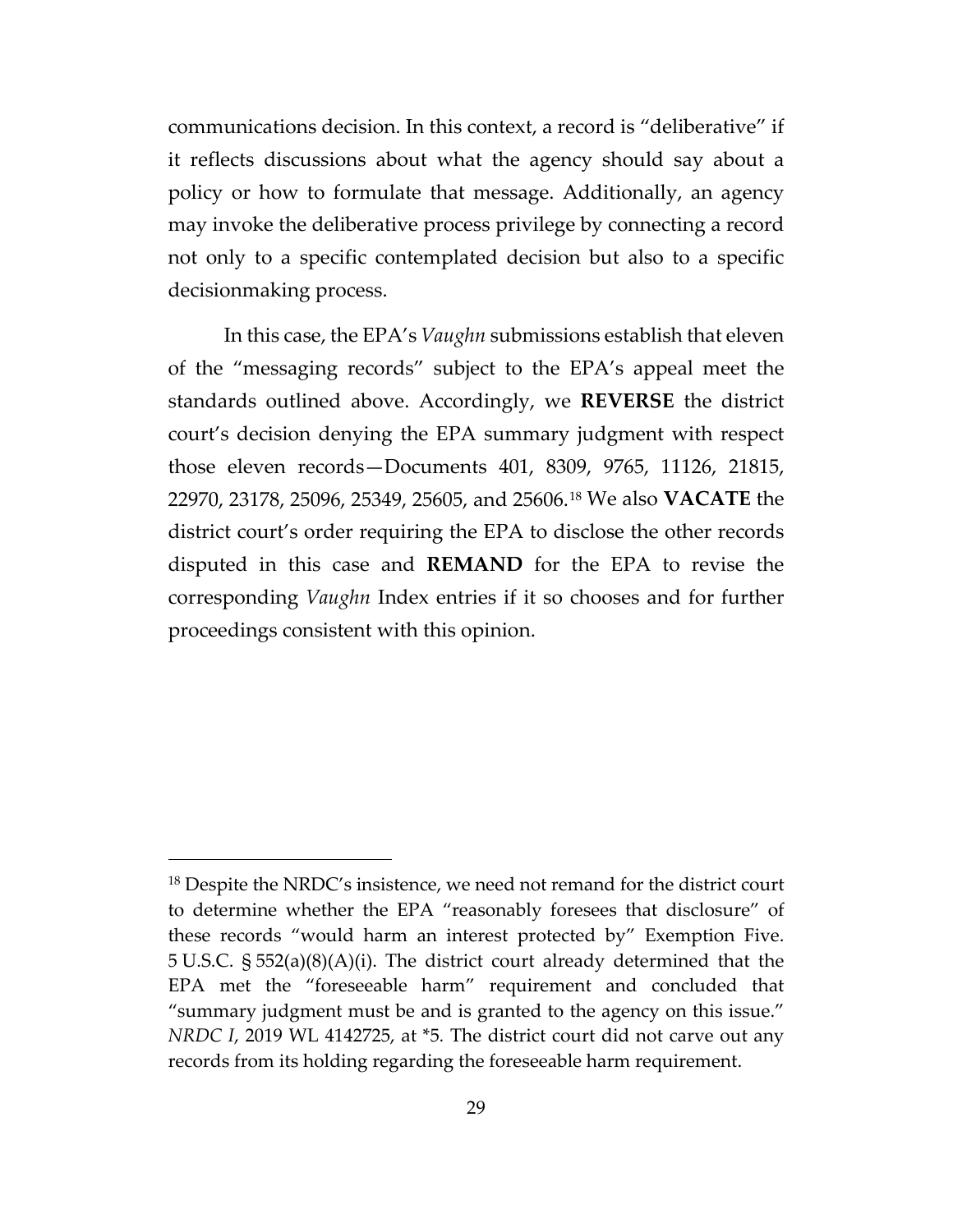communications decision. In this context, a record is "deliberative" if it reflects discussions about what the agency should say about a policy or how to formulate that message. Additionally, an agency may invoke the deliberative process privilege by connecting a record not only to a specific contemplated decision but also to a specific decisionmaking process.

In this case, the EPA's *Vaughn* submissions establish that eleven of the "messaging records" subject to the EPA's appeal meet the standards outlined above. Accordingly, we **REVERSE** the district court's decision denying the EPA summary judgment with respect those eleven records—Documents 401, 8309, 9765, 11126, 21815, 22970, 23178, 25096, 25349, 25605, and 25606.[18](#page-28-0) We also **VACATE** the district court's order requiring the EPA to disclose the other records disputed in this case and **REMAND** for the EPA to revise the corresponding *Vaughn* Index entries if it so chooses and for further proceedings consistent with this opinion.

<span id="page-28-0"></span><sup>&</sup>lt;sup>18</sup> Despite the NRDC's insistence, we need not remand for the district court to determine whether the EPA "reasonably foresees that disclosure" of these records "would harm an interest protected by" Exemption Five. 5 U.S.C. § 552(a)(8)(A)(i). The district court already determined that the EPA met the "foreseeable harm" requirement and concluded that "summary judgment must be and is granted to the agency on this issue." *NRDC I*, 2019 WL 4142725, at \*5*.* The district court did not carve out any records from its holding regarding the foreseeable harm requirement.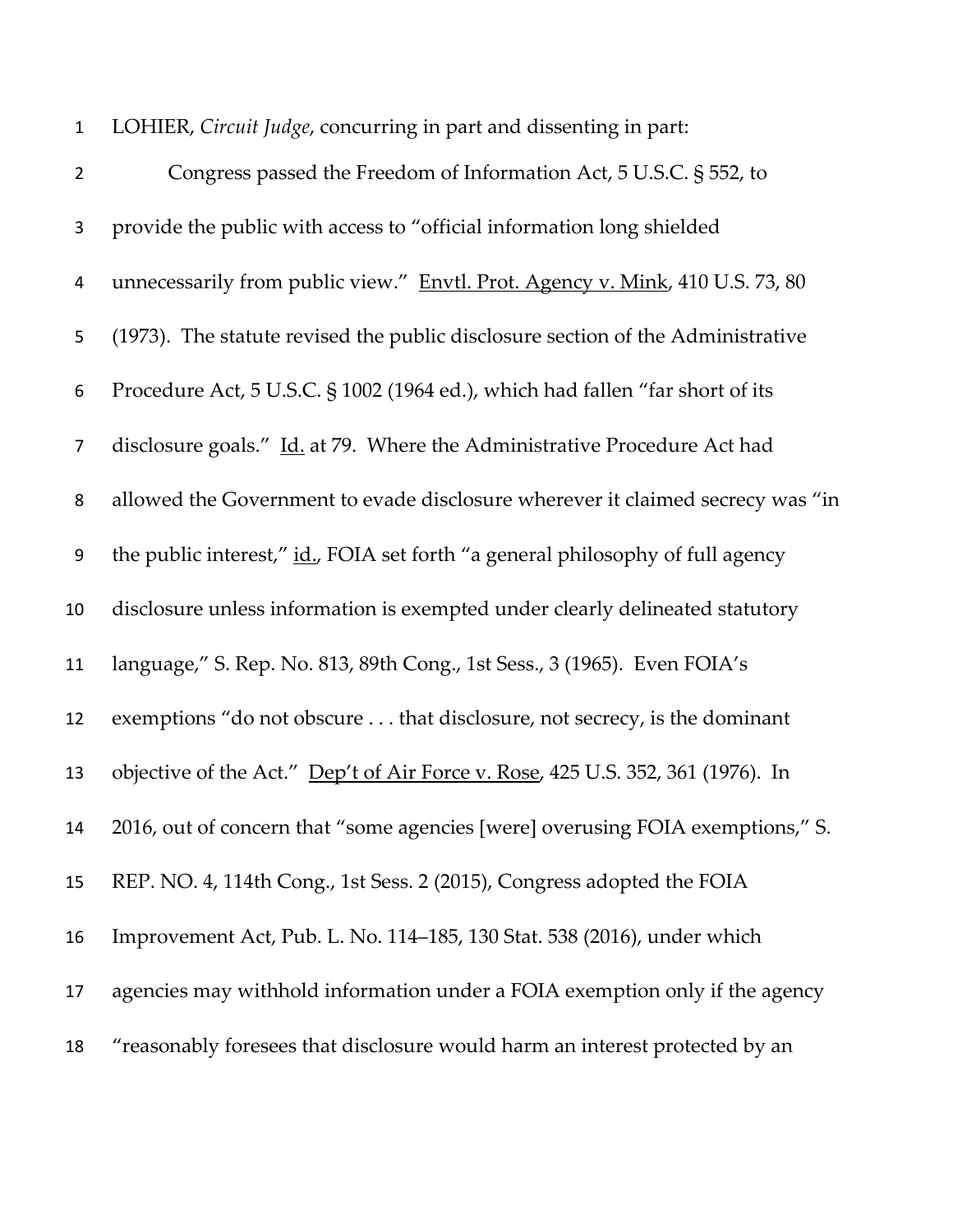| $\mathbf{1}$   | LOHIER, Circuit Judge, concurring in part and dissenting in part:               |
|----------------|---------------------------------------------------------------------------------|
| $\overline{2}$ | Congress passed the Freedom of Information Act, 5 U.S.C. § 552, to              |
| 3              | provide the public with access to "official information long shielded           |
| 4              | unnecessarily from public view." Envtl. Prot. Agency v. Mink, 410 U.S. 73, 80   |
| 5              | (1973). The statute revised the public disclosure section of the Administrative |
| 6              | Procedure Act, 5 U.S.C. § 1002 (1964 ed.), which had fallen "far short of its   |
| 7              | disclosure goals." Id. at 79. Where the Administrative Procedure Act had        |
| 8              | allowed the Government to evade disclosure wherever it claimed secrecy was "in  |
| 9              | the public interest," id., FOIA set forth "a general philosophy of full agency  |
| 10             | disclosure unless information is exempted under clearly delineated statutory    |
| 11             | language," S. Rep. No. 813, 89th Cong., 1st Sess., 3 (1965). Even FOIA's        |
| 12             | exemptions "do not obscure that disclosure, not secrecy, is the dominant        |
| 13             | objective of the Act." Dep't of Air Force v. Rose, 425 U.S. 352, 361 (1976). In |
| 14             | 2016, out of concern that "some agencies [were] overusing FOIA exemptions," S.  |
| 15             | REP. NO. 4, 114th Cong., 1st Sess. 2 (2015), Congress adopted the FOIA          |
| 16             | Improvement Act, Pub. L. No. 114–185, 130 Stat. 538 (2016), under which         |
| 17             | agencies may withhold information under a FOIA exemption only if the agency     |
| 18             | "reasonably foresees that disclosure would harm an interest protected by an     |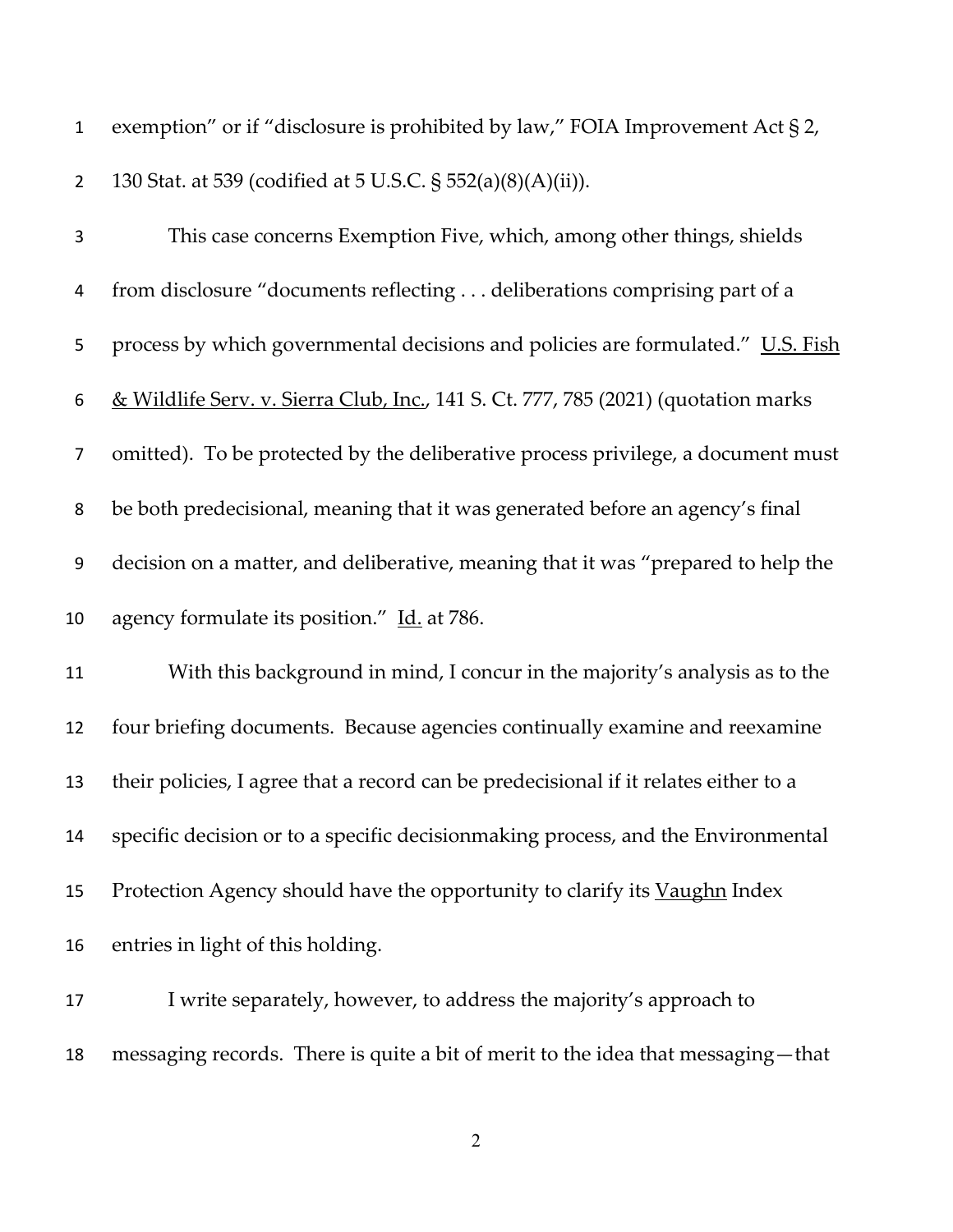| $\mathbf{1}$   | exemption" or if "disclosure is prohibited by law," FOIA Improvement Act $\S 2$ ,    |
|----------------|--------------------------------------------------------------------------------------|
| $\overline{2}$ | 130 Stat. at 539 (codified at 5 U.S.C. § 552(a)(8)(A)(ii)).                          |
| $\mathbf{3}$   | This case concerns Exemption Five, which, among other things, shields                |
| 4              | from disclosure "documents reflecting deliberations comprising part of a             |
| 5              | process by which governmental decisions and policies are formulated." U.S. Fish      |
| 6              | & Wildlife Serv. v. Sierra Club, Inc., 141 S. Ct. 777, 785 (2021) (quotation marks   |
| 7              | omitted). To be protected by the deliberative process privilege, a document must     |
| 8              | be both predecisional, meaning that it was generated before an agency's final        |
| 9              | decision on a matter, and deliberative, meaning that it was "prepared to help the    |
| 10             | agency formulate its position." Id. at 786.                                          |
| 11             | With this background in mind, I concur in the majority's analysis as to the          |
| 12             | four briefing documents. Because agencies continually examine and reexamine          |
| 13             | their policies, I agree that a record can be predecisional if it relates either to a |
| 14             | specific decision or to a specific decision making process, and the Environmental    |
| 15             | Protection Agency should have the opportunity to clarify its Vaughn Index            |
| 16             | entries in light of this holding.                                                    |
| 17             | I write separately, however, to address the majority's approach to                   |

messaging records. There is quite a bit of merit to the idea that messaging—that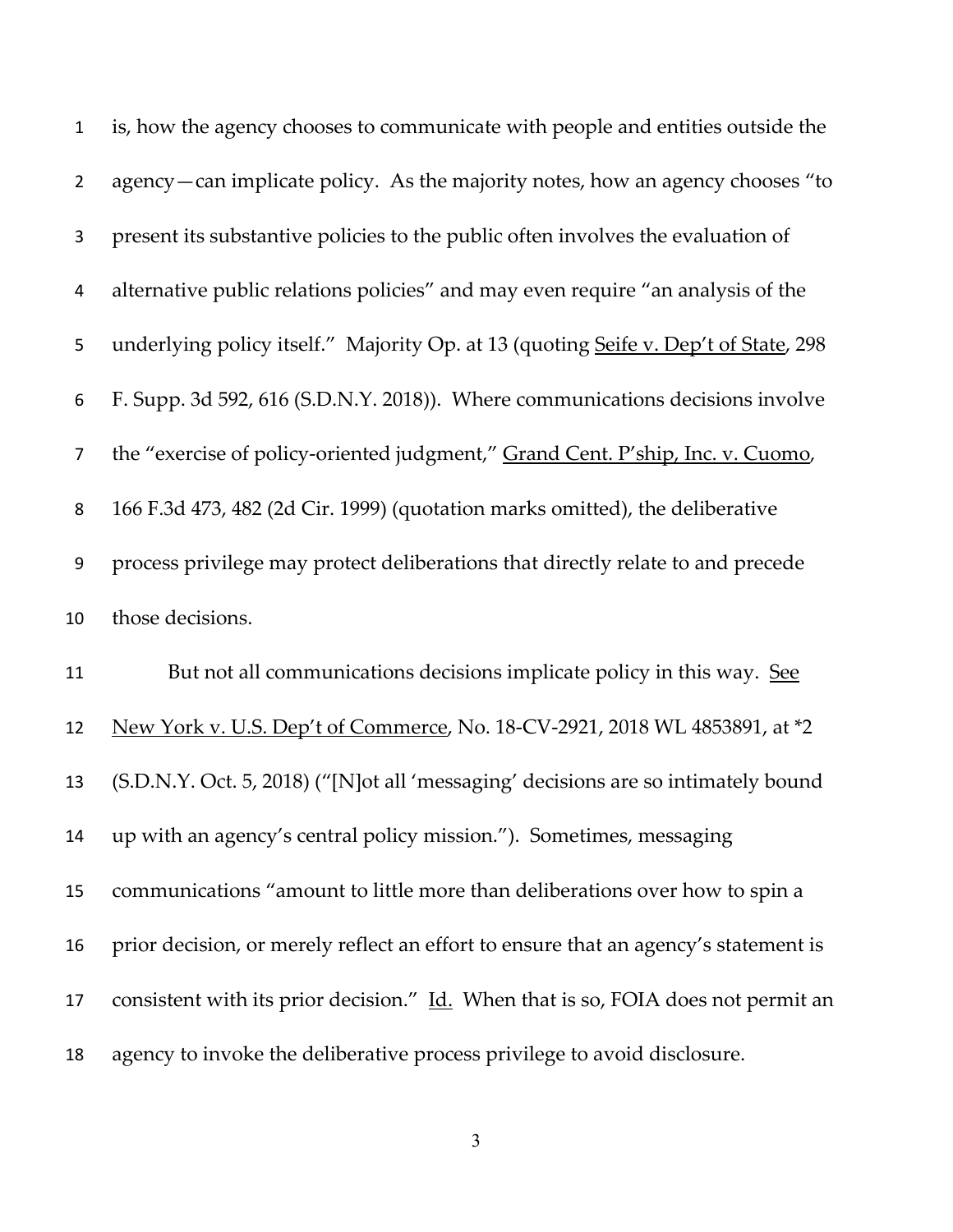| $\mathbf{1}$   | is, how the agency chooses to communicate with people and entities outside the      |
|----------------|-------------------------------------------------------------------------------------|
| $\overline{2}$ | agency — can implicate policy. As the majority notes, how an agency chooses "to     |
| 3              | present its substantive policies to the public often involves the evaluation of     |
| 4              | alternative public relations policies" and may even require "an analysis of the     |
| 5              | underlying policy itself." Majority Op. at 13 (quoting Seife v. Dep't of State, 298 |
| 6              | F. Supp. 3d 592, 616 (S.D.N.Y. 2018)). Where communications decisions involve       |
| $\overline{7}$ | the "exercise of policy-oriented judgment," Grand Cent. P'ship, Inc. v. Cuomo,      |
| 8              | 166 F.3d 473, 482 (2d Cir. 1999) (quotation marks omitted), the deliberative        |
| 9              | process privilege may protect deliberations that directly relate to and precede     |
| 10             | those decisions.                                                                    |
|                |                                                                                     |
| 11             | But not all communications decisions implicate policy in this way. See              |
| 12             | New York v. U.S. Dep't of Commerce, No. 18-CV-2921, 2018 WL 4853891, at *2          |
| 13             | (S.D.N.Y. Oct. 5, 2018) ("[N]ot all 'messaging' decisions are so intimately bound   |
| 14             | up with an agency's central policy mission."). Sometimes, messaging                 |
| 15             | communications "amount to little more than deliberations over how to spin a         |
| 16             | prior decision, or merely reflect an effort to ensure that an agency's statement is |
| 17             | consistent with its prior decision." Id. When that is so, FOIA does not permit an   |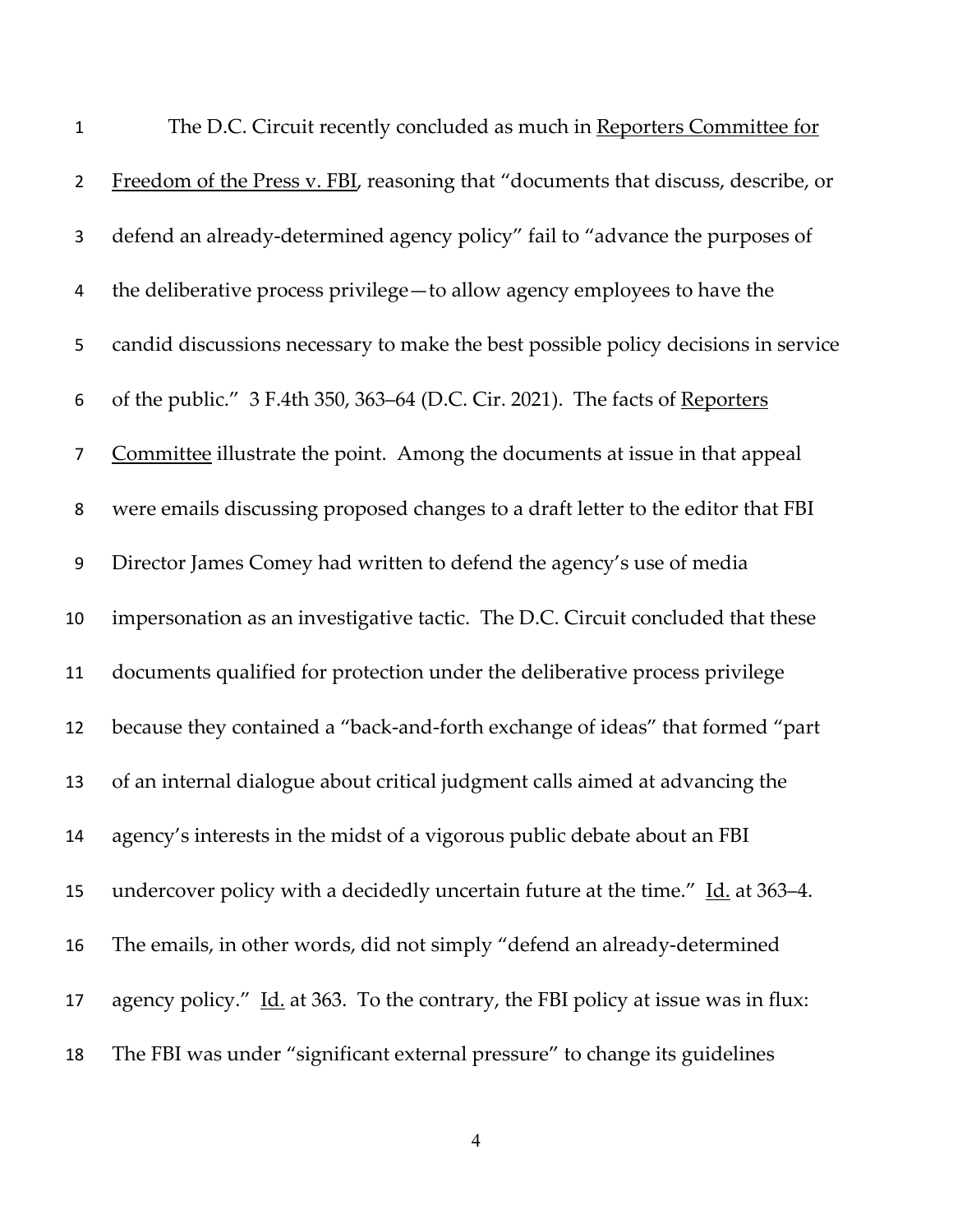| $\mathbf{1}$     | The D.C. Circuit recently concluded as much in Reporters Committee for             |
|------------------|------------------------------------------------------------------------------------|
| $\overline{2}$   | Freedom of the Press v. FBI, reasoning that "documents that discuss, describe, or  |
| 3                | defend an already-determined agency policy" fail to "advance the purposes of       |
| 4                | the deliberative process privilege - to allow agency employees to have the         |
| 5                | candid discussions necessary to make the best possible policy decisions in service |
| 6                | of the public." 3 F.4th 350, 363–64 (D.C. Cir. 2021). The facts of Reporters       |
| $\overline{7}$   | Committee illustrate the point. Among the documents at issue in that appeal        |
| 8                | were emails discussing proposed changes to a draft letter to the editor that FBI   |
| $\boldsymbol{9}$ | Director James Comey had written to defend the agency's use of media               |
| 10               | impersonation as an investigative tactic. The D.C. Circuit concluded that these    |
| 11               | documents qualified for protection under the deliberative process privilege        |
| 12               | because they contained a "back-and-forth exchange of ideas" that formed "part      |
| 13               | of an internal dialogue about critical judgment calls aimed at advancing the       |
| 14               | agency's interests in the midst of a vigorous public debate about an FBI           |
| 15               | undercover policy with a decidedly uncertain future at the time." Id. at 363–4.    |
| 16               | The emails, in other words, did not simply "defend an already-determined           |
| 17               | agency policy." Id. at 363. To the contrary, the FBI policy at issue was in flux:  |
| 18               | The FBI was under "significant external pressure" to change its guidelines         |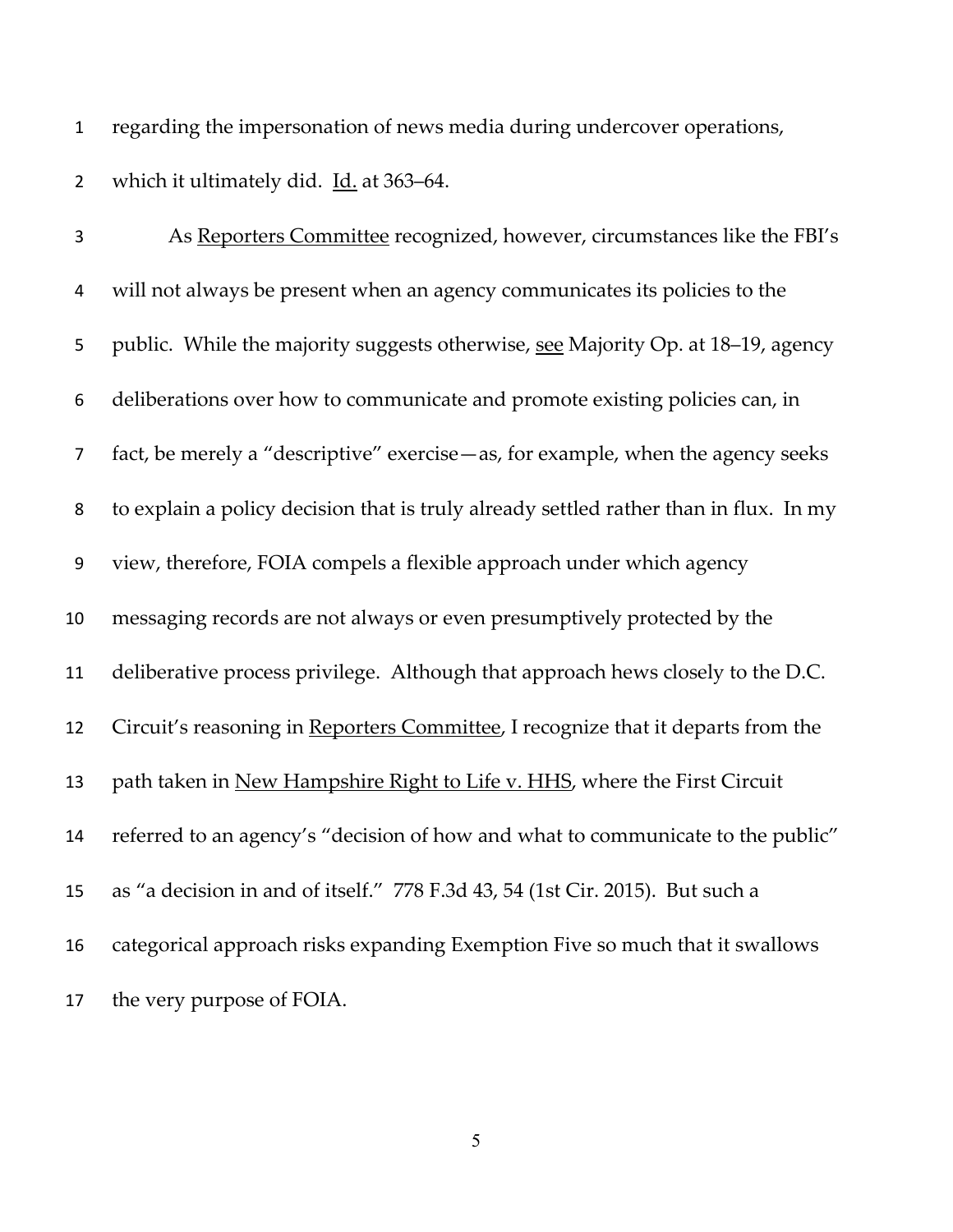regarding the impersonation of news media during undercover operations,

2 which it ultimately did. Id. at 363–64.

 As Reporters Committee recognized, however, circumstances like the FBI's will not always be present when an agency communicates its policies to the public. While the majority suggests otherwise, see Majority Op. at 18–19, agency deliberations over how to communicate and promote existing policies can, in fact, be merely a "descriptive" exercise—as, for example, when the agency seeks to explain a policy decision that is truly already settled rather than in flux. In my view, therefore, FOIA compels a flexible approach under which agency messaging records are not always or even presumptively protected by the deliberative process privilege. Although that approach hews closely to the D.C. 12 Circuit's reasoning in Reporters Committee, I recognize that it departs from the path taken in New Hampshire Right to Life v. HHS, where the First Circuit referred to an agency's "decision of how and what to communicate to the public" as "a decision in and of itself." 778 F.3d 43, 54 (1st Cir. 2015). But such a categorical approach risks expanding Exemption Five so much that it swallows the very purpose of FOIA.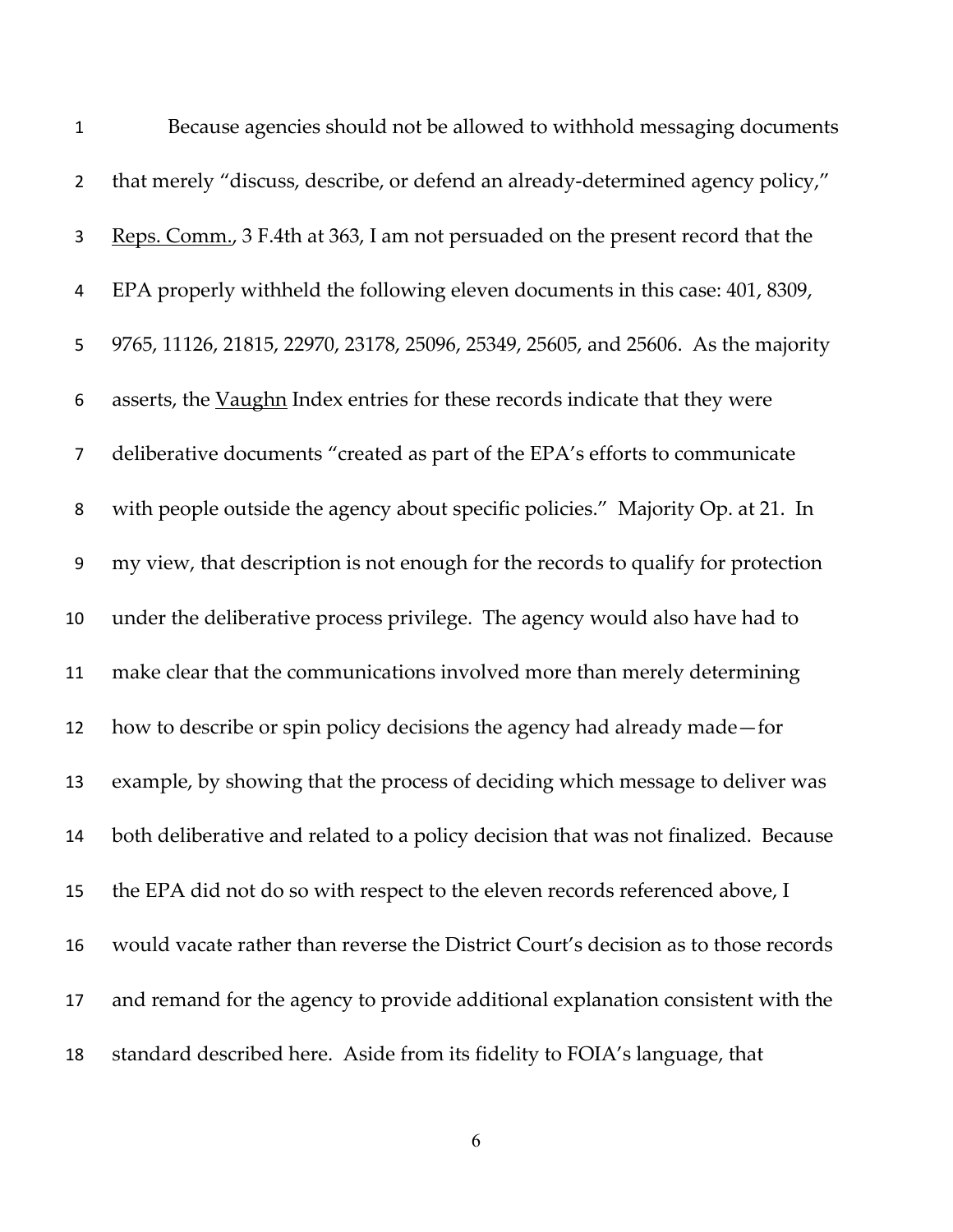| $\mathbf 1$    | Because agencies should not be allowed to withhold messaging documents             |
|----------------|------------------------------------------------------------------------------------|
| $\overline{2}$ | that merely "discuss, describe, or defend an already-determined agency policy,"    |
| 3              | Reps. Comm., 3 F.4th at 363, I am not persuaded on the present record that the     |
| 4              | EPA properly withheld the following eleven documents in this case: 401, 8309,      |
| 5              | 9765, 11126, 21815, 22970, 23178, 25096, 25349, 25605, and 25606. As the majority  |
| 6              | asserts, the Vaughn Index entries for these records indicate that they were        |
| $\overline{7}$ | deliberative documents "created as part of the EPA's efforts to communicate        |
| 8              | with people outside the agency about specific policies." Majority Op. at 21. In    |
| 9              | my view, that description is not enough for the records to qualify for protection  |
| 10             | under the deliberative process privilege. The agency would also have had to        |
| 11             | make clear that the communications involved more than merely determining           |
| 12             | how to describe or spin policy decisions the agency had already made – for         |
| 13             | example, by showing that the process of deciding which message to deliver was      |
| 14             | both deliberative and related to a policy decision that was not finalized. Because |
| 15             | the EPA did not do so with respect to the eleven records referenced above, I       |
| 16             | would vacate rather than reverse the District Court's decision as to those records |
| 17             | and remand for the agency to provide additional explanation consistent with the    |
| 18             | standard described here. Aside from its fidelity to FOIA's language, that          |